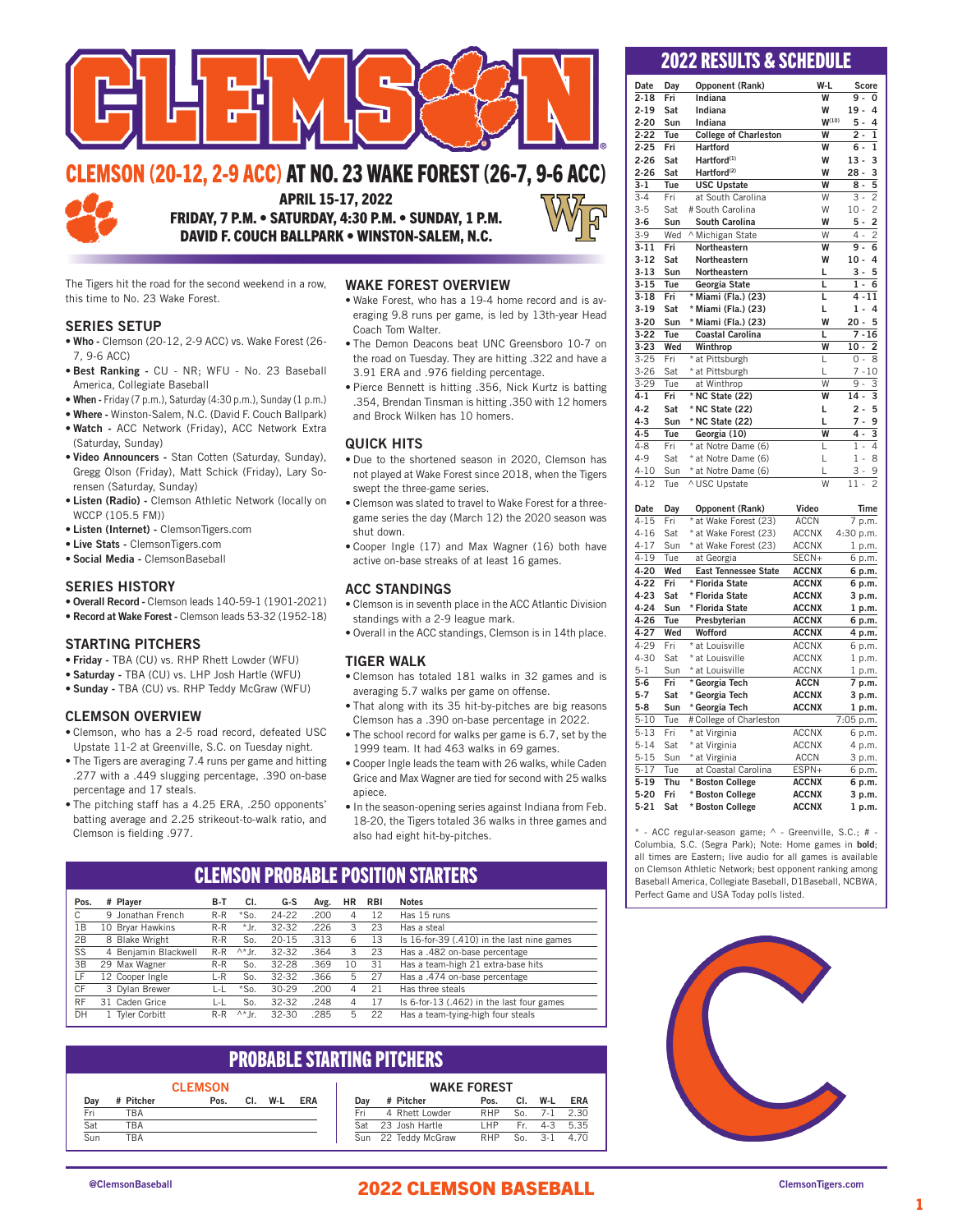

## CLEMSON (20-12, 2-9 ACC) AT NO. 23 WAKE FOREST (26-7, 9-6 ACC)



APRIL 15-17, 2022 FRIDAY, 7 P.M. • SATURDAY, 4:30 P.M. • SUNDAY, 1 P.M.

DAVID F. COUCH BALLPARK • WINSTON-SALEM, N.C.

The Tigers hit the road for the second weekend in a row, this time to No. 23 Wake Forest.

### SERIES SETUP

- Who Clemson (20-12, 2-9 ACC) vs. Wake Forest (26- 7, 9-6 ACC)
- Best Ranking CU NR; WFU No. 23 Baseball America, Collegiate Baseball
- When Friday (7 p.m.), Saturday (4:30 p.m.), Sunday (1 p.m.)
- Where Winston-Salem, N.C. (David F. Couch Ballpark)
- Watch ACC Network (Friday), ACC Network Extra (Saturday, Sunday)
- Video Announcers Stan Cotten (Saturday, Sunday), Gregg Olson (Friday), Matt Schick (Friday), Lary Sorensen (Saturday, Sunday)
- Listen (Radio) Clemson Athletic Network (locally on WCCP (105.5 FM))
- Listen (Internet) ClemsonTigers.com
- Live Stats ClemsonTigers.com
- Social Media ClemsonBaseball

### SERIES HISTORY

- Overall Record Clemson leads 140-59-1 (1901-2021)
- Record at Wake Forest Clemson leads 53-32 (1952-18)

### STARTING PITCHERS

- Friday TBA (CU) vs. RHP Rhett Lowder (WFU)
- Saturday TBA (CU) vs. LHP Josh Hartle (WFU)
- Sunday TBA (CU) vs. RHP Teddy McGraw (WFU)

### CLEMSON OVERVIEW

- Clemson, who has a 2-5 road record, defeated USC Upstate 11-2 at Greenville, S.C. on Tuesday night.
- The Tigers are averaging 7.4 runs per game and hitting .277 with a .449 slugging percentage, .390 on-base percentage and 17 steals.
- The pitching staff has a 4.25 ERA, .250 opponents' batting average and 2.25 strikeout-to-walk ratio, and Clemson is fielding .977.

### WAKE FOREST OVERVIEW

- Wake Forest, who has a 19-4 home record and is averaging 9.8 runs per game, is led by 13th-year Head Coach Tom Walter.
- The Demon Deacons beat UNC Greensboro 10-7 on the road on Tuesday. They are hitting .322 and have a 3.91 ERA and .976 fielding percentage.
- Pierce Bennett is hitting .356, Nick Kurtz is batting .354, Brendan Tinsman is hitting .350 with 12 homers and Brock Wilken has 10 homers.

### QUICK HITS

- Due to the shortened season in 2020, Clemson has not played at Wake Forest since 2018, when the Tigers swept the three-game series.
- Clemson was slated to travel to Wake Forest for a threegame series the day (March 12) the 2020 season was shut down.
- Cooper Ingle (17) and Max Wagner (16) both have active on-base streaks of at least 16 games.

### ACC STANDINGS

- Clemson is in seventh place in the ACC Atlantic Division standings with a 2-9 league mark.
- Overall in the ACC standings, Clemson is in 14th place.

### TIGER WALK

- Clemson has totaled 181 walks in 32 games and is averaging 5.7 walks per game on offense.
- That along with its 35 hit-by-pitches are big reasons Clemson has a .390 on-base percentage in 2022.
- The school record for walks per game is 6.7, set by the 1999 team. It had 463 walks in 69 games.
- Cooper Ingle leads the team with 26 walks, while Caden Grice and Max Wagner are tied for second with 25 walks apiece.
- In the season-opening series against Indiana from Feb. 18-20, the Tigers totaled 36 walks in three games and also had eight hit-by-pitches.

## CLEMSON PROBABLE POSITION STARTERS

| Pos.      | # Plaver             | B-T   | CI.            | G-S       | Avg. | <b>HR</b> | <b>RBI</b> | <b>Notes</b>                               |
|-----------|----------------------|-------|----------------|-----------|------|-----------|------------|--------------------------------------------|
| С         | 9 Jonathan French    | R-R   | $*$ So.        | 24-22     | .200 | 4         | 12         | Has 15 runs                                |
| 1В        | 10 Brvar Hawkins     | $R-R$ | * Jr.          | 32-32     | .226 | 3         | 23         | Has a steal                                |
| 2B        | 8 Blake Wright       | $R-R$ | So.            | $20 - 15$ | .313 | 6         | 13         | Is 16-for-39 (.410) in the last nine games |
| SS        | 4 Benjamin Blackwell | $R-R$ | $\wedge^*$  r. | 32-32     | .364 | З         | 23         | Has a .482 on-base percentage              |
| 3B        | 29 Max Wagner        | $R-R$ | So.            | 32-28     | .369 | 10        | 31         | Has a team-high 21 extra-base hits         |
| ιF.       | 12 Cooper Ingle      | L-R   | So.            | 32-32     | .366 | 5         | 27         | Has a .474 on-base percentage              |
| СF        | 3 Dylan Brewer       | L-L   | $*$ So.        | 30-29     | .200 | 4         | 21         | Has three steals                           |
| <b>RF</b> | 31 Caden Grice       | L-L   | So.            | 32-32     | .248 | 4         | 17         | Is 6-for-13 (.462) in the last four games  |
| DH        | 1 Tyler Corbitt      | $R-R$ | $\wedge^*$ Jr. | $32 - 30$ | .285 | 5         | 22         | Has a team-tying-high four steals          |

### PROBABLE STARTING PITCHERS

| <b>CLEMSON</b> |           |      |     |     |            |  |
|----------------|-----------|------|-----|-----|------------|--|
| Day            | # Pitcher | Pos. | CI. | W-I | <b>FRA</b> |  |
| Fri            | TRA       |      |     |     |            |  |
| Sat            | TRA       |      |     |     |            |  |
| Sun            | TRA       |      |     |     |            |  |

### WAKE FOREST<br>Pos. Cl. Dav # Pitcher Pos. Cl. W-L ERA Fri 4 Rhett Lowder RHP So. 7-1 2.30 Sat 23 Josh Hartle LHP Fr. 4-3 5.35<br>Sun 22 Teddy McGraw RHP So. 3-1 4.70 22 Teddy McGraw

### 2022 RESULTS & SCHEDULE

| Date     | Day   |                              | W-L             | Score                    |
|----------|-------|------------------------------|-----------------|--------------------------|
| $2 - 18$ | Fri   | Opponent (Rank)<br>Indiana   | W               | 9.<br>$\Omega$           |
|          |       |                              |                 | $19 -$<br>4              |
| $2 - 19$ | Sat   | Indiana                      | W<br>$W^{(10)}$ | $5 -$                    |
| $2 - 20$ | Sun   | Indiana                      |                 | 4                        |
| $2 - 22$ | Tue   | <b>College of Charleston</b> | W               | $2 -$<br>1               |
| $2 - 25$ | Fri   | <b>Hartford</b>              | W               | 1<br>6 -                 |
| $2 - 26$ | Sat   | Hartford <sup>(1)</sup>      | W               | 3<br>$13 -$              |
| $2 - 26$ | Sat   | Hartford <sup>(2)</sup>      | W               | $28 -$<br>3              |
| $3 - 1$  | Tue   | <b>USC Upstate</b>           | W               | $\overline{5}$<br>$8 -$  |
| $3 - 4$  | Fri   | at South Carolina            | W               | $\overline{2}$<br>$3 -$  |
| $3 - 5$  | Sat   | # South Carolina             | W               | $\overline{c}$<br>$10 -$ |
| $3 - 6$  | Sun   | <b>South Carolina</b>        | W               | $\overline{c}$<br>$5 -$  |
| $3-9$    | Wed   | ^ Michigan State             | W               | $\overline{2}$<br>4 -    |
| $3 - 11$ | Fri   | Northeastern                 | W               | 6<br>9.                  |
| $3 - 12$ | Sat   | Northeastern                 | W               | 4<br>$10 -$              |
| $3 - 13$ | Sun   | Northeastern                 | L               | $3 -$<br>5               |
| $3 - 15$ | Tue   | Georgia State                | L               | 6<br>$1 -$               |
| $3 - 18$ | Fri   | * Miami (Fla.) (23)          | L               | $4 - 11$                 |
| $3 - 19$ | Sat   | * Miami (Fla.) (23)          | L               | $1 -$<br>$\overline{a}$  |
| $3 - 20$ | Sun   | * Miami (Fla.) (23)          | W               | $20 - 5$                 |
| $3 - 22$ | Tue   | <b>Coastal Carolina</b>      | L               | $7 - 16$                 |
| $3 - 23$ | Wed   | Winthrop                     | W               | $\overline{2}$<br>10 -   |
| $3 - 25$ | Fri   | * at Pittsburgh              | L               | 0 -<br>8                 |
| $3 - 26$ | Sat   | * at Pittsburgh              | L               | $7 - 10$                 |
| $3 - 29$ | Tue   | at Winthrop                  | W               | 3<br>$9 -$               |
| $4 - 1$  | Fri   | * NC State (22)              | W               | 3<br>$14 -$              |
| $4-2$    | Sat   | * NC State (22)              | L               | $2 -$<br>5               |
| $4 - 3$  | Sun   | * NC State (22)              | L               | $7 -$<br>9               |
| $4 - 5$  | Tue   | Georgia (10)                 | W               | 3<br>4 -                 |
| $4 - 8$  | Fri   | * at Notre Dame (6)          | L               | $1 -$<br>4               |
| $4 - 9$  | Sat   | * at Notre Dame (6)          | L               | 1<br>8<br>i,             |
| $4 - 10$ | Sun   | * at Notre Dame (6)          | L               | $3 -$<br>9               |
| $4 - 12$ | Tue   | ^ USC Upstate                | W               | 2<br>11                  |
|          |       |                              |                 |                          |
| Date     | Day   | Opponent (Rank)              | Video           | Time                     |
| 1E       | Evi I | $*$ of Wake Forget (22)      | <b>ACCNI</b>    | 7.5 <sub>m</sub>         |

| Date     | Day  | Opponent (Rank)             | Video        | Time      |
|----------|------|-----------------------------|--------------|-----------|
| $4 - 15$ | Fri  | * at Wake Forest (23)       | <b>ACCN</b>  | 7 p.m.    |
| 4-16     | Sat  | * at Wake Forest (23)       | <b>ACCNX</b> | 4:30 p.m. |
| $4 - 17$ | Sun  | * at Wake Forest (23)       | <b>ACCNX</b> | 1 p.m.    |
| $4 - 19$ | Tue  | at Georgia                  | SECN+        | 6 p.m.    |
| 4-20     | Wed  | <b>East Tennessee State</b> | <b>ACCNX</b> | 6 p.m.    |
| $4 - 22$ | Fri  | * Florida State             | <b>ACCNX</b> | 6 p.m.    |
| $4 - 23$ | Sat  | * Florida State             | <b>ACCNX</b> | 3 p.m.    |
| 4-24     | Sun  | * Florida State             | <b>ACCNX</b> | 1 p.m.    |
| $4 - 26$ | Tue  | Presbyterian                | <b>ACCNX</b> | 6 p.m.    |
| 4-27     | Wed  | Wofford                     | <b>ACCNX</b> | 4 p.m.    |
| $4 - 29$ | Fri  | * at Louisville             | <b>ACCNX</b> | 6 p.m.    |
| $4 - 30$ | Sat  | * at Louisville             | <b>ACCNX</b> | 1 p.m.    |
| $5-1$    | Sun  | * at Louisville             | <b>ACCNX</b> | 1 p.m.    |
| 5-6      | Fri  | * Georgia Tech              | <b>ACCN</b>  | 7 p.m.    |
| $5 - 7$  | Sat  | * Georgia Tech              | <b>ACCNX</b> | 3 p.m.    |
| $5-8$    | Sun  | * Georgia Tech              | <b>ACCNX</b> | 1 p.m.    |
| $5 - 10$ | Tue  | # College of Charleston     |              | 7:05 p.m. |
| $5 - 13$ | Fri  | * at Virginia               | <b>ACCNX</b> | 6 p.m.    |
| $5 - 14$ | Sat  | * at Virginia               | <b>ACCNX</b> | 4 p.m.    |
| $5 - 15$ | Sun  | * at Virginia               | <b>ACCN</b>  | 3 p.m.    |
| $5 - 17$ | Tue. | at Coastal Carolina         | ESPN+        | 6 p.m.    |
| $5 - 19$ | Thu  | * Boston College            | <b>ACCNX</b> | 6 p.m.    |
| $5 - 20$ | Fri  | * Boston College            | <b>ACCNX</b> | 3 p.m.    |
| $5-21$   | Sat  | * Boston College            | <b>ACCNX</b> | 1 p.m.    |

\* - ACC regular-season game; ^ - Greenville, S.C.; # - Columbia, S.C. (Segra Park); Note: Home games in bold; all times are Eastern; live audio for all games is available on Clemson Athletic Network; best opponent ranking among Baseball America, Collegiate Baseball, D1Baseball, NCBWA, Perfect Game and USA Today polls listed.



### @ClemsonBaseball ClemsonTigers.com 2022 CLEMSON BASEBALL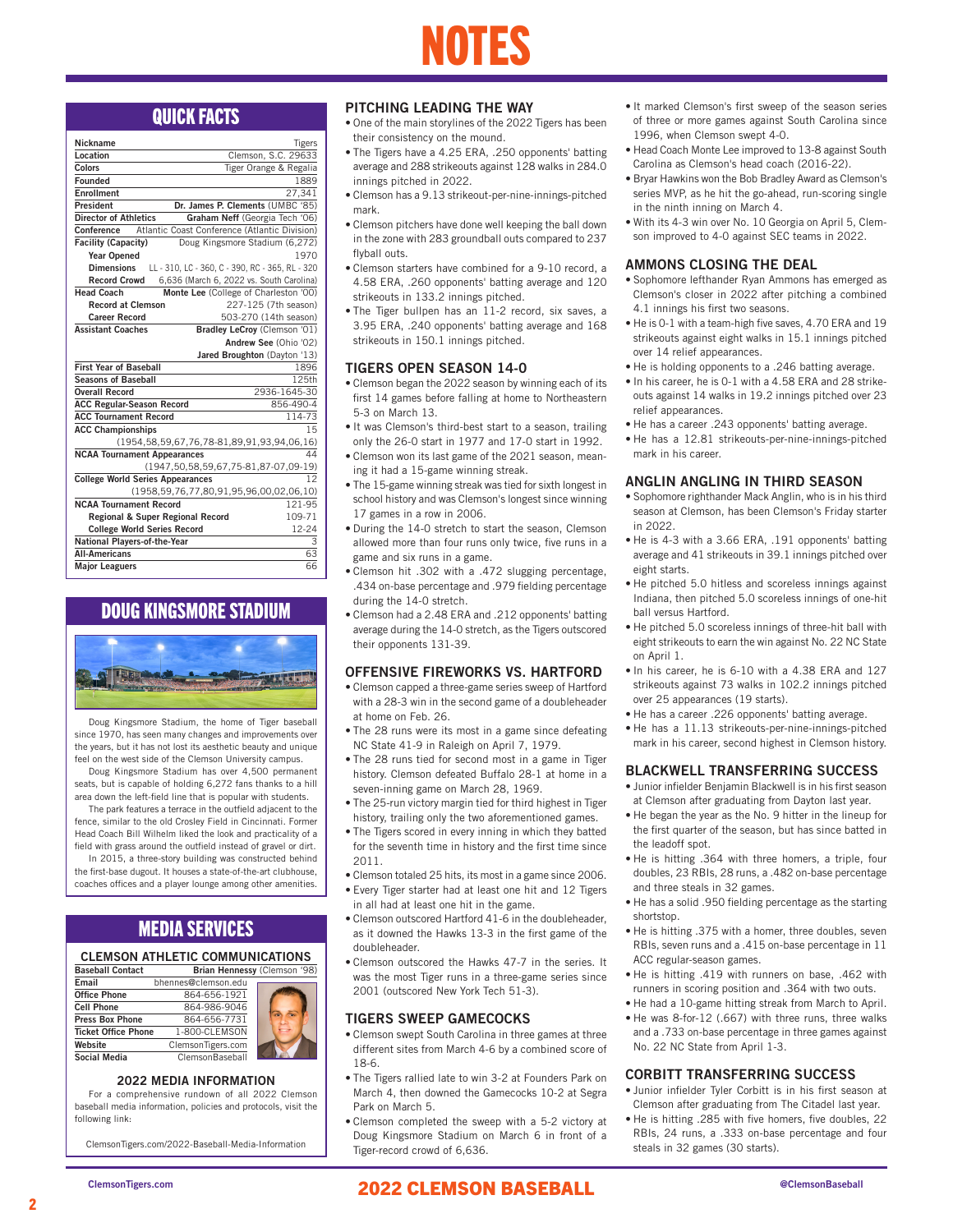

| Nickname                                | <b>Tigers</b>                                         |
|-----------------------------------------|-------------------------------------------------------|
| Location                                | Clemson, S.C. 29633                                   |
| Colors                                  | Tiger Orange & Regalia                                |
| Founded                                 | 1889                                                  |
| <b>Enrollment</b>                       | 27,341                                                |
| President                               | Dr. James P. Clements (UMBC '85)                      |
| <b>Director of Athletics</b>            | Graham Neff (Georgia Tech '06)                        |
| Conference                              | Atlantic Coast Conference (Atlantic Division)         |
| <b>Facility (Capacity)</b>              | Doug Kingsmore Stadium (6,272)                        |
| <b>Year Opened</b>                      | 1970                                                  |
| <b>Dimensions</b>                       | LL - 310, LC - 360, C - 390, RC - 365, RL - 320       |
| <b>Record Crowd</b>                     | 6,636 (March 6, 2022 vs. South Carolina)              |
| <b>Head Coach</b>                       | Monte Lee (College of Charleston '00)                 |
| <b>Record at Clemson</b>                | 227-125 (7th season)                                  |
| <b>Career Record</b>                    | 503-270 (14th season)                                 |
| <b>Assistant Coaches</b>                | Bradley LeCroy (Clemson '01)                          |
|                                         | Andrew See (Ohio '02)                                 |
|                                         | Jared Broughton (Dayton '13)                          |
| <b>First Year of Baseball</b>           | 1896                                                  |
| <b>Seasons of Baseball</b>              | 125th                                                 |
| <b>Overall Record</b>                   | 2936-1645-30                                          |
| <b>ACC Regular-Season Record</b>        | 856-490-4                                             |
| <b>ACC Tournament Record</b>            | 114-73                                                |
| <b>ACC Championships</b>                | 15                                                    |
|                                         | (1954, 58, 59, 67, 76, 78-81, 89, 91, 93, 94, 06, 16) |
| <b>NCAA Tournament Appearances</b>      | 44                                                    |
|                                         | (1947, 50, 58, 59, 67, 75-81, 87-07, 09-19)           |
| <b>College World Series Appearances</b> | 12                                                    |
|                                         | (1958, 59, 76, 77, 80, 91, 95, 96, 00, 02, 06, 10)    |
| <b>NCAA Tournament Record</b>           | 121-95                                                |
| Regional & Super Regional Record        | 109-71                                                |
| <b>College World Series Record</b>      | 12-24                                                 |
| National Players-of-the-Year            | 3                                                     |
| <b>All-Americans</b>                    | 63                                                    |
| <b>Major Leaguers</b>                   | 66                                                    |

### DOUG KINGSMORE STADIUM



Doug Kingsmore Stadium, the home of Tiger baseball since 1970, has seen many changes and improvements over the years, but it has not lost its aesthetic beauty and unique feel on the west side of the Clemson University campus.

Doug Kingsmore Stadium has over 4,500 permanent seats, but is capable of holding 6,272 fans thanks to a hill area down the left-field line that is popular with students.

The park features a terrace in the outfield adjacent to the fence, similar to the old Crosley Field in Cincinnati. Former Head Coach Bill Wilhelm liked the look and practicality of a field with grass around the outfield instead of gravel or dirt.

In 2015, a three-story building was constructed behind the first-base dugout. It houses a state-of-the-art clubhouse, coaches offices and a player lounge among other amenities.

### MEDIA SERVICES

### CLEMSON ATHLETIC COMMUNICATIONS

| <b>Baseball Contact</b>    |                        | Brian Hennessy (Clemson '98) |
|----------------------------|------------------------|------------------------------|
| Email                      | bhennes@clemson.edu    |                              |
| <b>Office Phone</b>        | 864-656-1921           |                              |
| <b>Cell Phone</b>          | 864-986-9046           |                              |
| <b>Press Box Phone</b>     | 864-656-7731           |                              |
| <b>Ticket Office Phone</b> | 1-800-CLEMSON          |                              |
| Website                    | ClemsonTigers.com      |                              |
| <b>Social Media</b>        | <b>ClemsonBaseball</b> |                              |

### 2022 MEDIA INFORMATION

For a comprehensive rundown of all 2022 Clemson baseball media information, policies and protocols, visit the following link:

ClemsonTigers.com/2022-Baseball-Media-Information

### PITCHING LEADING THE WAY

- their consistency on the mound.
- The Tigers have a 4.25 ERA, .250 opponents' batting average and 288 strikeouts against 128 walks in 284.0 innings pitched in 2022.
- Clemson has a 9.13 strikeout-per-nine-innings-pitched mark.
- Clemson pitchers have done well keeping the ball down in the zone with 283 groundball outs compared to 237 flyball outs.
- Clemson starters have combined for a 9-10 record, a 4.58 ERA, .260 opponents' batting average and 120 strikeouts in 133.2 innings pitched.
- The Tiger bullpen has an 11-2 record, six saves, a 3.95 ERA, .240 opponents' batting average and 168 strikeouts in 150.1 innings pitched.

### TIGERS OPEN SEASON 14-0

- Clemson began the 2022 season by winning each of its first 14 games before falling at home to Northeastern 5-3 on March 13.
- It was Clemson's third-best start to a season, trailing only the 26-0 start in 1977 and 17-0 start in 1992.
- Clemson won its last game of the 2021 season, meaning it had a 15-game winning streak.
- The 15-game winning streak was tied for sixth longest in school history and was Clemson's longest since winning 17 games in a row in 2006.
- During the 14-0 stretch to start the season, Clemson allowed more than four runs only twice, five runs in a game and six runs in a game.
- Clemson hit .302 with a .472 slugging percentage, .434 on-base percentage and .979 fielding percentage during the 14-0 stretch.
- Clemson had a 2.48 ERA and .212 opponents' batting average during the 14-0 stretch, as the Tigers outscored their opponents 131-39.

### OFFENSIVE FIREWORKS VS. HARTFORD

- Clemson capped a three-game series sweep of Hartford with a 28-3 win in the second game of a doubleheader at home on Feb. 26.
- The 28 runs were its most in a game since defeating NC State 41-9 in Raleigh on April 7, 1979.
- The 28 runs tied for second most in a game in Tiger history. Clemson defeated Buffalo 28-1 at home in a seven-inning game on March 28, 1969.
- The 25-run victory margin tied for third highest in Tiger history, trailing only the two aforementioned games.
- The Tigers scored in every inning in which they batted for the seventh time in history and the first time since 2011.
- Clemson totaled 25 hits, its most in a game since 2006.
- Every Tiger starter had at least one hit and 12 Tigers in all had at least one hit in the game.
- Clemson outscored Hartford 41-6 in the doubleheader, as it downed the Hawks 13-3 in the first game of the doubleheader.
- Clemson outscored the Hawks 47-7 in the series. It was the most Tiger runs in a three-game series since 2001 (outscored New York Tech 51-3).

### TIGERS SWEEP GAMECOCKS

- Clemson swept South Carolina in three games at three different sites from March 4-6 by a combined score of 18-6.
- The Tigers rallied late to win 3-2 at Founders Park on March 4, then downed the Gamecocks 10-2 at Segra Park on March 5.
- Clemson completed the sweep with a 5-2 victory at Doug Kingsmore Stadium on March 6 in front of a Tiger-record crowd of 6,636.
- **QUICK FACTS** PITCHING LEADING THE WAY It marked Clemson's first sweep of the season series<br>• One of the main storylines of the 2022 Tigers has been of three or more games against South Carolina since of three or more games against South Carolina since 1996, when Clemson swept 4-0.
	- Head Coach Monte Lee improved to 13-8 against South Carolina as Clemson's head coach (2016-22).
	- Bryar Hawkins won the Bob Bradley Award as Clemson's series MVP, as he hit the go-ahead, run-scoring single in the ninth inning on March 4.
	- With its 4-3 win over No. 10 Georgia on April 5, Clemson improved to 4-0 against SEC teams in 2022.

### AMMONS CLOSING THE DEAL

- Sophomore lefthander Ryan Ammons has emerged as Clemson's closer in 2022 after pitching a combined 4.1 innings his first two seasons.
- He is 0-1 with a team-high five saves, 4.70 ERA and 19 strikeouts against eight walks in 15.1 innings pitched over 14 relief appearances.
- He is holding opponents to a .246 batting average.
- In his career, he is 0-1 with a 4.58 ERA and 28 strikeouts against 14 walks in 19.2 innings pitched over 23 relief appearances.
- He has a career .243 opponents' batting average.
- He has a 12.81 strikeouts-per-nine-innings-pitched mark in his career.

### ANGLIN ANGLING IN THIRD SEASON

- Sophomore righthander Mack Anglin, who is in his third season at Clemson, has been Clemson's Friday starter in 2022.
- He is 4-3 with a 3.66 ERA, .191 opponents' batting average and 41 strikeouts in 39.1 innings pitched over eight starts.
- He pitched 5.0 hitless and scoreless innings against Indiana, then pitched 5.0 scoreless innings of one-hit ball versus Hartford.
- He pitched 5.0 scoreless innings of three-hit ball with eight strikeouts to earn the win against No. 22 NC State on April 1.
- In his career, he is 6-10 with a 4.38 ERA and 127 strikeouts against 73 walks in 102.2 innings pitched over 25 appearances (19 starts).
- He has a career .226 opponents' batting average.
- He has a 11.13 strikeouts-per-nine-innings-pitched mark in his career, second highest in Clemson history.

### BLACKWELL TRANSFERRING SUCCESS

- Junior infielder Benjamin Blackwell is in his first season at Clemson after graduating from Dayton last year.
- He began the year as the No. 9 hitter in the lineup for the first quarter of the season, but has since batted in the leadoff spot.
- He is hitting .364 with three homers, a triple, four doubles, 23 RBIs, 28 runs, a .482 on-base percentage and three steals in 32 games.
- He has a solid .950 fielding percentage as the starting shortstop.
- He is hitting .375 with a homer, three doubles, seven RBIs, seven runs and a .415 on-base percentage in 11 ACC regular-season games.
- He is hitting .419 with runners on base, .462 with runners in scoring position and .364 with two outs.
- He had a 10-game hitting streak from March to April.
- He was 8-for-12 (.667) with three runs, three walks and a .733 on-base percentage in three games against No. 22 NC State from April 1-3.

### CORBITT TRANSFERRING SUCCESS

- Junior infielder Tyler Corbitt is in his first season at Clemson after graduating from The Citadel last year.
- He is hitting .285 with five homers, five doubles, 22 RBIs, 24 runs, a .333 on-base percentage and four steals in 32 games (30 starts).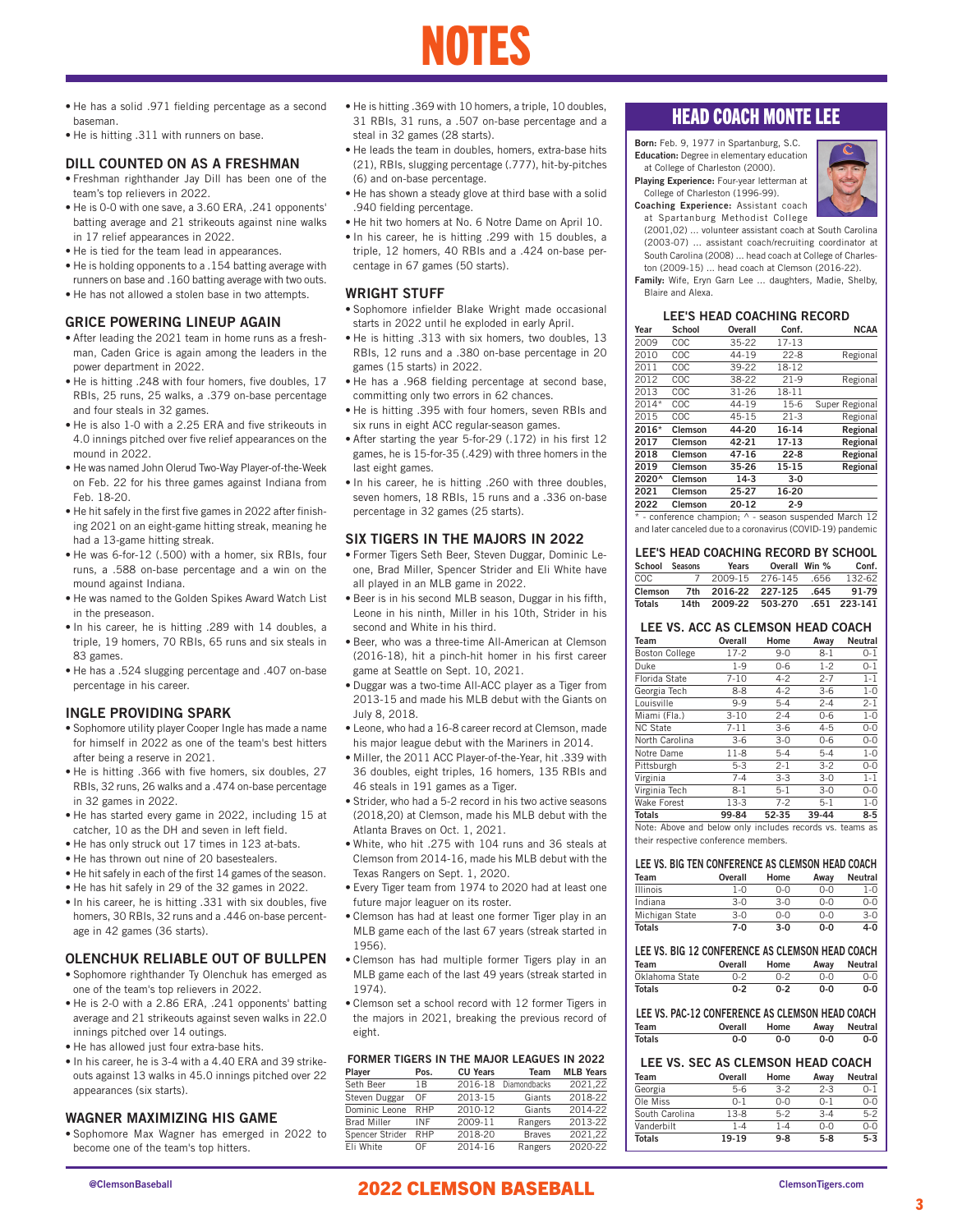# NOTES

- He has a solid .971 fielding percentage as a second baseman.
- He is hitting .311 with runners on base.

### DILL COUNTED ON AS A FRESHMAN

- Freshman righthander Jay Dill has been one of the team's top relievers in 2022.
- He is 0-0 with one save, a 3.60 ERA, .241 opponents' batting average and 21 strikeouts against nine walks in 17 relief appearances in 2022.
- He is tied for the team lead in appearances.
- He is holding opponents to a .154 batting average with runners on base and .160 batting average with two outs.
- He has not allowed a stolen base in two attempts.

### GRICE POWERING LINEUP AGAIN

- After leading the 2021 team in home runs as a freshman, Caden Grice is again among the leaders in the power department in 2022.
- He is hitting .248 with four homers, five doubles, 17 RBIs, 25 runs, 25 walks, a .379 on-base percentage and four steals in 32 games.
- He is also 1-0 with a 2.25 ERA and five strikeouts in 4.0 innings pitched over five relief appearances on the mound in 2022.
- He was named John Olerud Two-Way Player-of-the-Week on Feb. 22 for his three games against Indiana from Feb. 18-20.
- He hit safely in the first five games in 2022 after finishing 2021 on an eight-game hitting streak, meaning he had a 13-game hitting streak.
- He was 6-for-12 (.500) with a homer, six RBIs, four runs, a .588 on-base percentage and a win on the mound against Indiana.
- He was named to the Golden Spikes Award Watch List in the preseason.
- In his career, he is hitting .289 with 14 doubles, a triple, 19 homers, 70 RBIs, 65 runs and six steals in 83 games.
- He has a .524 slugging percentage and .407 on-base percentage in his career.

### INGLE PROVIDING SPARK

- Sophomore utility player Cooper Ingle has made a name for himself in 2022 as one of the team's best hitters after being a reserve in 2021.
- He is hitting .366 with five homers, six doubles, 27 RBIs, 32 runs, 26 walks and a .474 on-base percentage in 32 games in 2022.
- He has started every game in 2022, including 15 at catcher, 10 as the DH and seven in left field.
- He has only struck out 17 times in 123 at-bats.
- He has thrown out nine of 20 basestealers.
- He hit safely in each of the first 14 games of the season.
- He has hit safely in 29 of the 32 games in 2022.
- In his career, he is hitting .331 with six doubles, five homers, 30 RBIs, 32 runs and a .446 on-base percentage in 42 games (36 starts).

### OLENCHUK RELIABLE OUT OF BULLPEN

- Sophomore righthander Ty Olenchuk has emerged as one of the team's top relievers in 2022.
- He is 2-0 with a 2.86 ERA, .241 opponents' batting average and 21 strikeouts against seven walks in 22.0 innings pitched over 14 outings.
- He has allowed just four extra-base hits.
- In his career, he is 3-4 with a 4.40 ERA and 39 strikeouts against 13 walks in 45.0 innings pitched over 22 appearances (six starts).

### WAGNER MAXIMIZING HIS GAME

• Sophomore Max Wagner has emerged in 2022 to become one of the team's top hitters.

- He is hitting .369 with 10 homers, a triple, 10 doubles, 31 RBIs, 31 runs, a .507 on-base percentage and a steal in 32 games (28 starts).
- He leads the team in doubles, homers, extra-base hits (21), RBIs, slugging percentage (.777), hit-by-pitches (6) and on-base percentage.
- He has shown a steady glove at third base with a solid .940 fielding percentage.
- He hit two homers at No. 6 Notre Dame on April 10.
- In his career, he is hitting .299 with 15 doubles, a triple, 12 homers, 40 RBIs and a .424 on-base percentage in 67 games (50 starts).

### WRIGHT STUFF

- Sophomore infielder Blake Wright made occasional starts in 2022 until he exploded in early April.
- He is hitting .313 with six homers, two doubles, 13 RBIs, 12 runs and a .380 on-base percentage in 20 games (15 starts) in 2022.
- He has a .968 fielding percentage at second base, committing only two errors in 62 chances.
- He is hitting .395 with four homers, seven RBIs and six runs in eight ACC regular-season games.
- After starting the year 5-for-29 (.172) in his first 12 games, he is 15-for-35 (.429) with three homers in the last eight games.
- In his career, he is hitting .260 with three doubles, seven homers, 18 RBIs, 15 runs and a .336 on-base percentage in 32 games (25 starts).

### SIX TIGERS IN THE MAJORS IN 2022

- Former Tigers Seth Beer, Steven Duggar, Dominic Leone, Brad Miller, Spencer Strider and Eli White have all played in an MLB game in 2022.
- Beer is in his second MLB season, Duggar in his fifth, Leone in his ninth, Miller in his 10th, Strider in his second and White in his third.
- Beer, who was a three-time All-American at Clemson (2016-18), hit a pinch-hit homer in his first career game at Seattle on Sept. 10, 2021.
- Duggar was a two-time All-ACC player as a Tiger from 2013-15 and made his MLB debut with the Giants on July 8, 2018.
- Leone, who had a 16-8 career record at Clemson, made his major league debut with the Mariners in 2014.
- Miller, the 2011 ACC Player-of-the-Year, hit .339 with 36 doubles, eight triples, 16 homers, 135 RBIs and 46 steals in 191 games as a Tiger.
- Strider, who had a 5-2 record in his two active seasons (2018,20) at Clemson, made his MLB debut with the Atlanta Braves on Oct. 1, 2021.
- White, who hit .275 with 104 runs and 36 steals at Clemson from 2014-16, made his MLB debut with the Texas Rangers on Sept. 1, 2020.
- Every Tiger team from 1974 to 2020 had at least one future major leaguer on its roster.
- Clemson has had at least one former Tiger play in an MLB game each of the last 67 years (streak started in 1956).
- Clemson has had multiple former Tigers play in an MLB game each of the last 49 years (streak started in 1974).
- Clemson set a school record with 12 former Tigers in the majors in 2021, breaking the previous record of eight.

|  |  |  |  | <b>FORMER TIGERS IN THE MAJOR LEAGUES IN 2022</b> |  |
|--|--|--|--|---------------------------------------------------|--|
|--|--|--|--|---------------------------------------------------|--|

| Player             | Pos.       | <b>CU Years</b> | Team          | <b>MLB Years</b> |
|--------------------|------------|-----------------|---------------|------------------|
| Seth Beer          | 1B         | 2016-18         | Diamondbacks  | 2021.22          |
| Steven Duggar      | OF         | 2013-15         | Giants        | 2018-22          |
| Dominic Leone      | <b>RHP</b> | 2010-12         | Giants        | 2014-22          |
| <b>Brad Miller</b> | INF        | 2009-11         | Rangers       | 2013-22          |
| Spencer Strider    | RHP        | 2018-20         | <b>Braves</b> | 2021.22          |
| Eli White          | ΩF         | 2014-16         | Rangers       | 2020-22          |

### HEAD COACH MONTE LEE

Born: Feb. 9, 1977 in Spartanburg, S.C. Education: Degree in elementary education



College of Charleston (1996-99).



Coaching Experience: Assistant coach at Spartanburg Methodist College

(2001,02) ... volunteer assistant coach at South Carolina (2003-07) ... assistant coach/recruiting coordinator at South Carolina (2008) ... head coach at College of Charles-

ton (2009-15) ... head coach at Clemson (2016-22). Family: Wife, Eryn Garn Lee ... daughters, Madie, Shelby, Blaire and Alexa.

### LEE'S HEAD COACHING RECORD

| Year  | School         | <b>Overall</b> | Conf.    | <b>NCAA</b>    |
|-------|----------------|----------------|----------|----------------|
| 2009  | COC            | 35-22          | $17-13$  |                |
| 2010  | COC            | 44-19          | $22 - 8$ | Regional       |
| 2011  | COC            | 39-22          | 18-12    |                |
| 2012  | COC            | 38-22          | $21-9$   | Regional       |
| 2013  | COC            | 31-26          | 18-11    |                |
| 2014* | COC            | 44-19          | $15-6$   | Super Regional |
| 2015  | COC            | 45-15          | $21-3$   | Regional       |
| 2016* | Clemson        | 44-20          | 16-14    | Regional       |
| 2017  | <b>Clemson</b> | 42-21          | 17-13    | Regional       |
| 2018  | Clemson        | 47-16          | $22 - 8$ | Regional       |
| 2019  | <b>Clemson</b> | 35-26          | 15-15    | Regional       |
| 2020^ | <b>Clemson</b> | $14-3$         | $3-0$    |                |
| 2021  | Clemson        | 25-27          | 16-20    |                |
| 2022  | Clemson        | 20-12          | $2-9$    |                |

\* - conference champion; ^ - season suspended March 12 and later canceled due to a coronavirus (COVID-19) pandemic

### LEE'S HEAD COACHING RECORD BY SCHOOL

| School Seasons | Years                             | Overall Win % |      | Conf.  |
|----------------|-----------------------------------|---------------|------|--------|
| COC.           | 7 2009-15 276-145 656             |               |      | 132-62 |
| Clemson        | 7th 2016-22 227-125               |               | .645 | 91-79  |
| Totals         | 14th 2009-22 503-270 .651 223-141 |               |      |        |

### LEE VS. ACC AS CLEMSON HEAD COACH

| Team                                                     | Overall  | Home    | Away    | <b>Neutral</b> |
|----------------------------------------------------------|----------|---------|---------|----------------|
| <b>Boston College</b>                                    | $17-2$   | $9 - 0$ | $8 - 1$ | $0 - 1$        |
| Duke                                                     | $1 - 9$  | $0 - 6$ | $1 - 2$ | $0 - 1$        |
| Florida State                                            | 7-10     | $4-2$   | $2 - 7$ | $1 - 1$        |
| Georgia Tech                                             | $8 - 8$  | $4 - 2$ | $3-6$   | $1 - 0$        |
| Louisville                                               | $9 - 9$  | $5 - 4$ | $2 - 4$ | $2 - 1$        |
| Miami (Fla.)                                             | $3 - 10$ | $2 - 4$ | $0 - 6$ | $1 - 0$        |
| <b>NC State</b>                                          | $7 - 11$ | $3-6$   | $4 - 5$ | $0 - 0$        |
| North Carolina                                           | $3-6$    | $3 - 0$ | $0 - 6$ | $0 - 0$        |
| Notre Dame                                               | $11 - 8$ | $5 - 4$ | $5 - 4$ | $1 - 0$        |
| Pittsburgh                                               | $5 - 3$  | $2 - 1$ | $3 - 2$ | $0 - 0$        |
| Virginia                                                 | $7 - 4$  | $3 - 3$ | $3-0$   | $1 - 1$        |
| Virginia Tech                                            | 8-1      | $5-1$   | $3-0$   | $O-O$          |
| <b>Wake Forest</b>                                       | $13-3$   | $7 - 2$ | $5 - 1$ | $1 - 0$        |
| Totals                                                   | 99-84    | 52-35   | 39-44   | $8 - 5$        |
| Note: Above and below only includes records vs. teams as |          |         |         |                |

their respective conference members.

### LEE VS. BIG TEN CONFERENCE AS CLEMSON HEAD COACH Team Overall Home Away Neutral Illinois 1-0 0-0 0-0 1-0

| <b>Totals</b>  | 7-0      | $3-0$   | ი-ი     | 4-0     |
|----------------|----------|---------|---------|---------|
| Michigan State | $3-0$    | ∩−∩     | $0 - 0$ | $3-0$   |
| Indiana        | 3-0      | $3 - 0$ | $0 - 0$ | n-0     |
| בוטווווו       | $1 - 11$ | $1 - 1$ | $U-U$   | $1 - U$ |

### LEE VS. BIG 12 CONFERENCE AS CLEMSON HEAD COACH Team Overall Home Away Neutral Oklahoma State 0-2 0-2 0-0 0-0 Totals 0-2 0-2 0-0 0-0

|               | LEE VS. PAC-12 CONFERENCE AS CLEMSON HEAD COACH |      |      |         |
|---------------|-------------------------------------------------|------|------|---------|
| Team          | Overall                                         | Home | Awav | Neutral |
| <b>Totals</b> | ი-ი                                             | ი-ი  | ი-ი  | 0-0     |

### LEE VS. SEC AS CLEMSON HEAD COACH

| Team           | Overall | Home    | Away    | Neutral |
|----------------|---------|---------|---------|---------|
| Georgia        | 5-6     | $3-2$   | $2 - 3$ | 0-1     |
| Ole Miss       | $0 - 1$ | n-n     | $0 - 1$ | $O-O$   |
| South Carolina | $13-8$  | $5-2$   | $3 - 4$ | $5-2$   |
| Vanderbilt     | $1 - 4$ | 1-4     | $0-0$   | $0 - 0$ |
| <b>Totals</b>  | 19-19   | $9 - 8$ | $5-8$   | $5 - 3$ |

### @ClemsonBaseball ClemsonTigers.com 2022 CLEMSON BASEBALL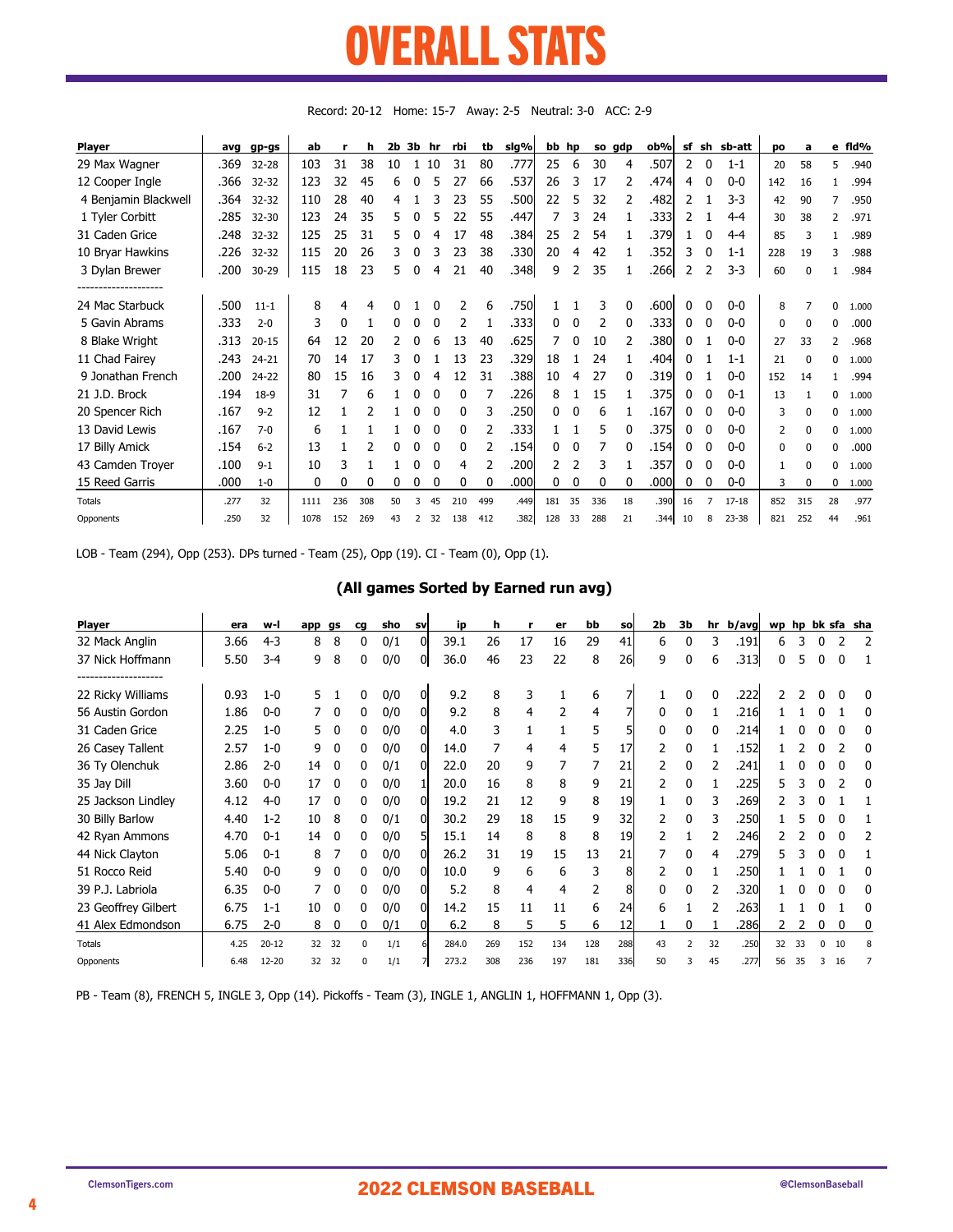### OVERALL STATS AWEDAH STATS UVLIVALL ƏIAIƏ

| <b>Player</b>        | avg  | gp-gs     | ab   | г   | h   | $2b$ $3b$ |                | hr       | rbi | tb  | sig% | bb hp |          |     | so gdp | ob%   | sf | sh           | sb-att    | po  | a        |    | e fld% |
|----------------------|------|-----------|------|-----|-----|-----------|----------------|----------|-----|-----|------|-------|----------|-----|--------|-------|----|--------------|-----------|-----|----------|----|--------|
| 29 Max Wagner        | .369 | $32 - 28$ | 103  | 31  | 38  | 10        |                | 10       | 31  | 80  | .777 | 25    | 6        | 30  | 4      | .507  | 2  | $\mathbf{0}$ | $1 - 1$   | 20  | 58       | 5  | .940   |
| 12 Cooper Ingle      | .366 | $32 - 32$ | 123  | 32  | 45  | 6         |                |          | 27  | 66  | .537 | 26    | 3        | 17  |        | .4741 | 4  | 0            | $0 - 0$   | 142 | 16       |    | .994   |
| 4 Benjamin Blackwell | .364 | $32 - 32$ | 110  | 28  | 40  | 4         |                |          | 23  | 55  | .500 | 22    | 5        | 32  |        | .482  | 2  |              | $3-3$     | 42  | 90       | 7  | .950   |
| 1 Tyler Corbitt      | .285 | $32 - 30$ | 123  | 24  | 35  | 5.        |                |          | 22  | 55  | .447 |       | 3        | 24  |        | .3331 | 2  |              | $4 - 4$   | 30  | 38       | 2  | .971   |
| 31 Caden Grice       | .248 | $32 - 32$ | 125  | 25  | 31  | 5.        |                | 4        | 17  | 48  | .384 | 25    |          | 54  |        | .379  |    | 0            | $4 - 4$   | 85  | 3        |    | .989   |
| 10 Bryar Hawkins     | .226 | $32 - 32$ | 115  | 20  | 26  | 3         | 0              | 3        | 23  | 38  | .330 | 20    | 4        | 42  |        | .352  | 3  | 0            | $1 - 1$   | 228 | 19       | 3  | .988   |
| 3 Dylan Brewer       | .200 | $30 - 29$ | 115  | 18  | 23  | 5.        | 0              | 4        | 21  | 40  | .348 | 9     | 2        | 35  |        | .266  | 2  | 2            | $3 - 3$   | 60  | $\Omega$ |    | .984   |
|                      |      |           |      |     |     |           |                |          |     |     |      |       |          |     |        |       |    |              |           |     |          |    |        |
| 24 Mac Starbuck      | .500 | $11 - 1$  | 8    | 4   | 4   | 0         |                | 0        | 2   | 6   | .750 |       |          | 3   | 0      | .600  | 0  | 0            | $0-0$     | 8   |          | 0  | 1.000  |
| 5 Gavin Abrams       | .333 | $2 - 0$   | 3    | 0   |     | 0         |                | 0        | 2   |     | .333 | 0     | $\Omega$ | 2   |        | .3331 | 0  | 0            | $0 - 0$   | 0   | $\Omega$ | 0  | .000   |
| 8 Blake Wright       | .313 | $20 - 15$ | 64   | 12  | 20  |           |                |          | 13  | 40  | .625 |       |          | 10  |        | .380  | 0  |              | $0 - 0$   | 27  | 33       | 2  | .968   |
| 11 Chad Fairey       | .243 | $24 - 21$ | 70   | 14  | 17  | 3         | 0              |          | 13  | 23  | .329 | 18    |          | 24  |        | .404  | 0  |              | $1 - 1$   | 21  | $\Omega$ | 0  | 1.000  |
| 9 Jonathan French    | .200 | $24 - 22$ | 80   | 15  | 16  | 3.        |                | 4        | 12  | 31  | .388 | 10    | 4        | 27  |        | .319  | 0  |              | $0 - 0$   | 152 | 14       |    | .994   |
| 21 J.D. Brock        | .194 | 18-9      | 31   |     | 6   |           |                |          | 0   |     | .226 | 8     |          | 15  |        | .375  | 0  |              | $0 - 1$   | 13  | 1        | 0  | 1.000  |
| 20 Spencer Rich      | .167 | $9 - 2$   | 12   |     |     |           | 0              | 0        | 0   | 3   | .250 | 0     | 0        | 6   |        | .167  | 0  | 0            | $0 - 0$   | 3   | $\Omega$ | 0  | 1.000  |
| 13 David Lewis       | .167 | $7-0$     | 6    |     |     |           | 0              | 0        | 0   |     | .333 |       |          | 5   |        | .375  | 0  | 0            | $0 - 0$   | 2   | $\Omega$ | 0  | 1.000  |
| 17 Billy Amick       | .154 | $6 - 2$   | 13   |     | 2   |           |                |          | 0   | 2   | .154 | 0     | 0        |     |        | .154  | 0  | <sup>0</sup> | $0 - 0$   | 0   | $\Omega$ | 0  | .000   |
| 43 Camden Troyer     | .100 | $9 - 1$   | 10   | 3   |     |           | 0              | $\Omega$ | 4   |     | .200 |       |          | 3   |        | .357  | 0  | $\Omega$     | $0 - 0$   | 1   | $\Omega$ | 0  | 1.000  |
| 15 Reed Garris       | .000 | $1 - 0$   | 0    | 0   | 0   | 0         | 0              | 0        | 0   | 0   | .000 | 0     | 0        | 0   | 0      | .000l | 0  | 0            | $0-0$     | 3   | $\Omega$ | 0  | 1.000  |
| <b>Totals</b>        | .277 | 32        | 1111 | 236 | 308 | 50        |                | 45       | 210 | 499 | .449 | 181   | 35       | 336 | 18     | .390  | 16 |              | $17 - 18$ | 852 | 315      | 28 | .977   |
| Opponents            | .250 | 32        | 1078 | 152 | 269 | 43        | $\overline{2}$ | 32       | 138 | 412 | .382 | 128   | 33       | 288 | 21     | .344  | 10 | 8            | 23-38     | 821 | 252      | 44 | .961   |

Record: 20-12 Home: 15-7 Away: 2-5 Neutral: 3-0 ACC: 2-9

LOB - Team (294), Opp (253). DPs turned - Team (25), Opp (19). CI - Team (0), Opp (1).

### (All games Sorted by Earned run avg)

| <b>Player</b>                           | era  | w-l       | app | gs           | cg | sho | <b>SV</b> | ip    | h   | г   | er  | bb  | <b>SO</b> | 2b | 3b                       | hr | b/avg |    |    |   |    | wp hp bk sfa sha |
|-----------------------------------------|------|-----------|-----|--------------|----|-----|-----------|-------|-----|-----|-----|-----|-----------|----|--------------------------|----|-------|----|----|---|----|------------------|
| 32 Mack Anglin                          | 3.66 | $4 - 3$   | 8   | 8            | 0  | 0/1 | 0         | 39.1  | 26  | 17  | 16  | 29  | 41        | 6  | 0                        | 3  | .191  | 6  | 3  |   |    |                  |
| 37 Nick Hoffmann                        | 5.50 | $3-4$     | 9   | 8            | 0  | 0/0 | 01        | 36.0  | 46  | 23  | 22  | 8   | 26        | 9  | 0                        | 6  | .313  | 0  | 5  | 0 |    |                  |
| ------------------<br>22 Ricky Williams | 0.93 | $1 - 0$   | 5.  |              |    | 0/0 |           | 9.2   | 8   | 3   |     | 6   |           |    | 0                        |    | .222  |    |    |   |    |                  |
| 56 Austin Gordon                        | 1.86 | $0-0$     |     | $\Omega$     | 0  | 0/0 |           | 9.2   | 8   | 4   | 2   | 4   |           | 0  | 0                        |    | .216  |    |    |   |    |                  |
| 31 Caden Grice                          | 2.25 | $1 - 0$   |     |              | 0  | 0/0 |           | 4.0   | 3   |     |     | 5   |           | 0  | 0                        |    | .214  |    |    |   |    |                  |
| 26 Casey Tallent                        | 2.57 | $1 - 0$   | 9   |              |    | 0/0 | 0         | 14.0  |     | 4   | 4   | 5   | 17        | 2  | 0                        |    | .152  |    |    |   |    |                  |
| 36 Ty Olenchuk                          | 2.86 | $2 - 0$   | 14  | 0            | 0  | 0/1 |           | 22.0  | 20  | 9   |     |     | 21        | 2  | 0                        |    | .241  |    |    |   |    |                  |
| 35 Jay Dill                             | 3.60 | $0 - 0$   | 17  | 0            | 0  | 0/0 |           | 20.0  | 16  | 8   | 8   | 9   | 21        | 2  | 0                        |    | .225  | 5  |    | 0 |    | <sup>0</sup>     |
| 25 Jackson Lindley                      | 4.12 | $4 - 0$   | 17  | 0            | 0  | 0/0 |           | 19.2  | 21  | 12  | 9   | 8   | 19        |    | 0                        | 3  | .269  |    |    | 0 |    |                  |
| 30 Billy Barlow                         | 4.40 | $1 - 2$   | 10  | 8            | 0  | 0/1 |           | 30.2  | 29  | 18  | 15  | 9   | 32        | 2  | 0                        |    | .250  |    |    |   |    |                  |
| 42 Ryan Ammons                          | 4.70 | $0 - 1$   | 14  | <sup>0</sup> | 0  | 0/0 |           | 15.1  | 14  | 8   | 8   | 8   | 19        |    |                          |    | .246  |    |    |   |    |                  |
| 44 Nick Clayton                         | 5.06 | $0 - 1$   | 8   |              | 0  | 0/0 |           | 26.2  | 31  | 19  | 15  | 13  | 21        |    | 0                        | 4  | .279  |    |    |   |    |                  |
| 51 Rocco Reid                           | 5.40 | $0 - 0$   | 9   |              |    | 0/0 |           | 10.0  | 9   | 6   | 6   | 3   | 8         | 2  | 0                        |    | .250  |    |    |   |    |                  |
| 39 P.J. Labriola                        | 6.35 | $0 - 0$   |     | $\Omega$     | 0  | 0/0 | 0         | 5.2   | 8   | 4   | 4   | 2   | 8         | 0  | 0                        |    | .320  |    |    |   |    |                  |
| 23 Geoffrey Gilbert                     | 6.75 | $1 - 1$   | 10  | 0            | 0  | 0/0 | $\Omega$  | 14.2  | 15  | 11  | 11  | 6   | 24        | 6  |                          |    | .263  |    |    |   |    |                  |
| 41 Alex Edmondson                       | 6.75 | $2 - 0$   | 8   | 0            | 0  | 0/1 | 01        | 6.2   | 8   | 5   | 5   | 6   | 12        |    | 0                        |    | .286  | 2  |    | 0 | 0  | 0                |
| <b>Totals</b>                           | 4.25 | $20 - 12$ | 32  | 32           | 0  | 1/1 |           | 284.0 | 269 | 152 | 134 | 128 | 288       | 43 | $\overline{\phantom{a}}$ | 32 | .250  | 32 | 33 | 0 | 10 |                  |
| Opponents                               | 6.48 | $12 - 20$ | 32  | 32           | 0  | 1/1 |           | 273.2 | 308 | 236 | 197 | 181 | 336       | 50 | 3                        | 45 | .277  | 56 | 35 |   | 16 |                  |

PB - Team (8), FRENCH 5, INGLE 3, Opp (14). Pickoffs - Team (3), INGLE 1, ANGLIN 1, HOFFMANN 1, Opp (3).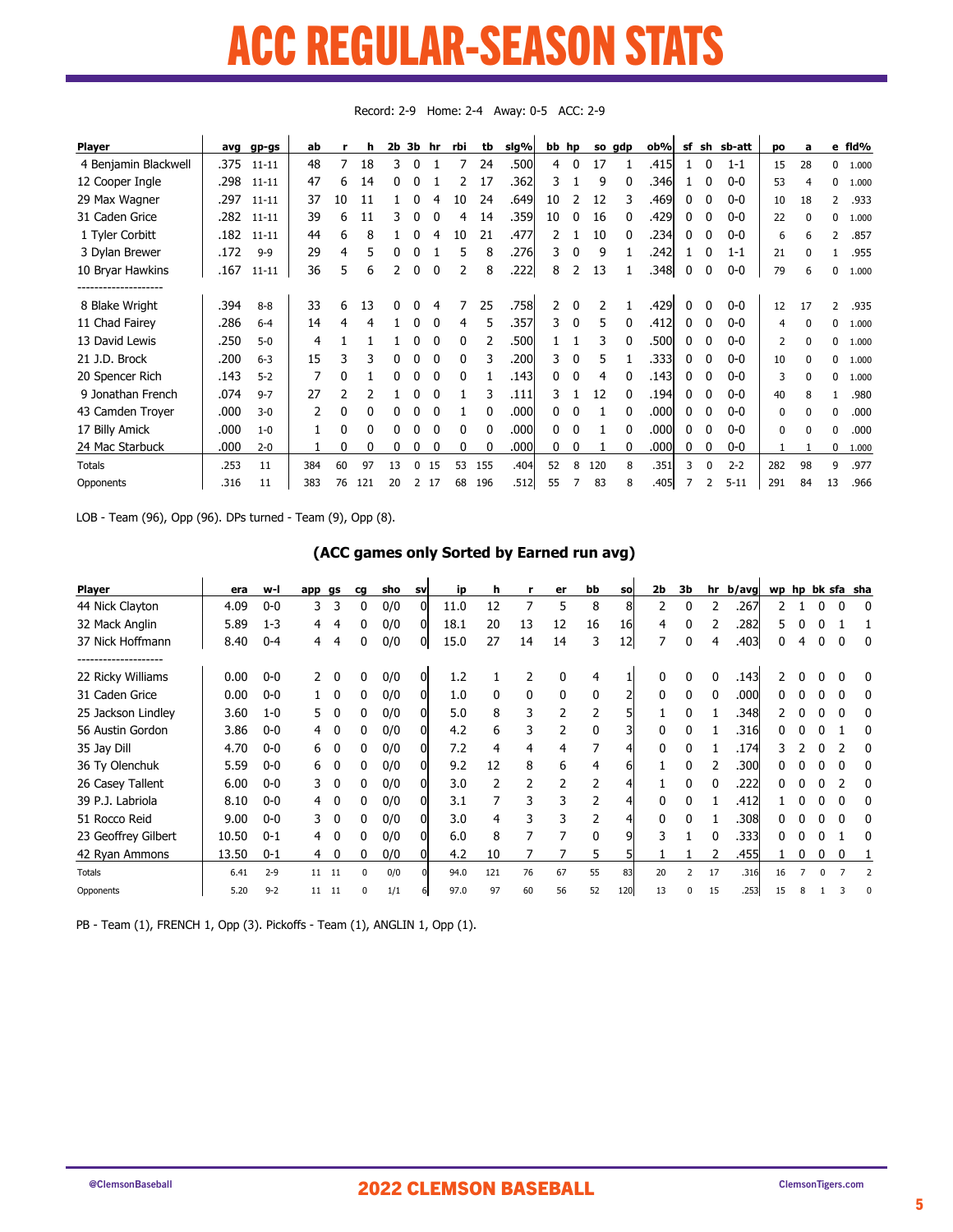### ACC REGULAR-SEASON STATS P DEPIH AD 'SEASAN ST LUULAN JOLAJUN

| <b>Player</b>         | avg  | gp-gs     | ab  |    | h   | 2b | 3b | hr       | rbi      | tb           | sig%  |    | bb hp        |               | so gdp | ob%   | sf | sh           | sb-att   | po       | a        | е              | fld%  |
|-----------------------|------|-----------|-----|----|-----|----|----|----------|----------|--------------|-------|----|--------------|---------------|--------|-------|----|--------------|----------|----------|----------|----------------|-------|
| 4 Benjamin Blackwell  | .375 | $11 - 11$ | 48  | 7  | 18  | 3  | 0  |          |          | 24           | .500l | 4  | $\mathbf{0}$ | 17            |        | .415l |    | 0            | $1 - 1$  | 15       | 28       | 0              | 1.000 |
| 12 Cooper Ingle       | .298 | $11 - 11$ | 47  | 6  | 14  | 0  | 0  |          |          | 17           | .362  | 3  |              | 9             |        | .346  |    |              | $0-0$    | 53       | 4        | 0              | 1.000 |
| 29 Max Wagner         | .297 | $11 - 11$ | 37  | 10 | 11  |    |    |          | 10       | 24           | .649  | 10 |              | 12            |        | .469  | 0  |              | $0-0$    | 10       | 18       | 2              | .933  |
| 31 Caden Grice        | .282 | $11 - 11$ | 39  | 6  | 11  | 3  | 0  |          | 4        | 14           | .359  | 10 | 0            | 16            |        | .429  | 0  |              | $0-0$    | 22       | $\Omega$ | $\Omega$       | 1.000 |
| 1 Tyler Corbitt       | .182 | $11 - 11$ | 44  | 6  | 8   |    |    |          | 10       | 21           | .477  |    |              | 10            | 0      | .234  | 0  |              | $0-0$    | 6        | 6        | $\overline{2}$ | .857  |
| 3 Dylan Brewer        | .172 | $9 - 9$   | 29  | 4  | 5   |    |    |          | 5        | 8            | .276  | 3  | 0            | 9             |        | .242  |    |              | $1 - 1$  | 21       | O        |                | .955  |
| 10 Bryar Hawkins      | .167 | $11 - 11$ | 36  | 5  | 6   | 2  | 0  | $\Omega$ |          | 8            | .222  | 8  | 2            | 13            |        | .348  | 0  | 0            | $0-0$    | 79       | 6        | $\theta$       | 1.000 |
| --------------------- |      |           |     |    |     |    |    |          |          |              |       |    |              |               |        |       |    |              |          |          |          |                |       |
| 8 Blake Wright        | .394 | $8 - 8$   | 33  | 6  | 13  | 0  |    |          |          | 25           | .758  | 2  | 0            | $\mathcal{P}$ |        | .429  |    |              | $0-0$    | 12       | 17       | $\overline{2}$ | .935  |
| 11 Chad Fairey        | .286 | $6 - 4$   | 14  | 4  | 4   |    | 0  |          | 4        | 5            | .357  | 3. | $\mathbf{0}$ | 5             |        | .412  | 0  |              | $0-0$    | 4        | $\Omega$ | $\Omega$       | 1.000 |
| 13 David Lewis        | .250 | $5-0$     | 4   |    |     |    | 0  |          | $\Omega$ |              | .500  |    |              | 3             |        | .500  | ŋ  |              | $0 - 0$  | 2        | $\Omega$ | 0              | 1.000 |
| 21 J.D. Brock         | .200 | $6 - 3$   | 15  | 3  | 3   |    |    |          | 0        |              | .200  | 3  | 0            | 5             |        | .333  | 0  |              | $0-0$    | 10       | O        | $\Omega$       | 1.000 |
| 20 Spencer Rich       | .143 | $5-2$     | 7   | 0  |     | 0  | 0  | $\Omega$ | 0        |              | .143  | 0  | 0            | 4             | 0      | .143  | 0  | <sup>0</sup> | $0-0$    | 3        | $\Omega$ | $\mathbf{0}$   | 1.000 |
| 9 Jonathan French     | .074 | $9 - 7$   | 27  | 2  |     |    | 0  |          |          | 3            | .111  | 3. |              | 12            | 0      | .194  | 0  |              | $0 - 0$  | 40       | 8        |                | .980  |
| 43 Camden Troyer      | .000 | $3-0$     | 2   | 0  | 0   |    |    |          |          |              | .000  | 0  | 0            |               |        | .000  | 0  |              | $0-0$    | $\Omega$ | O        | 0              | .000  |
| 17 Billy Amick        | .000 | $1 - 0$   | 1   | 0  | 0   |    |    |          | 0        | <sup>0</sup> | .000  | 0  | 0            |               |        | .000  | 0  |              | $0-0$    | $\Omega$ | $\Omega$ | $\Omega$       | .000  |
| 24 Mac Starbuck       | .000 | $2 - 0$   |     | 0  |     |    |    |          |          |              | .000  | 0  | 0            |               |        | .000  | 0  |              | $0-0$    |          |          | $\Omega$       | 1.000 |
| <b>Totals</b>         | .253 | 11        | 384 | 60 | 97  | 13 | 0  | 15       | 53       | 155          | .404  | 52 | 8            | 120           | 8      | .351  | 3  | <sup>n</sup> | $2 - 2$  | 282      | 98       | 9              | .977  |
| Opponents             | .316 | 11        | 383 | 76 | 121 | 20 | 2  | 17       | 68       | 196          | .512  | 55 | 7            | 83            | 8      | .405  |    |              | $5 - 11$ | 291      | 84       | 13             | .966  |

Record: 2-9 Home: 2-4 Away: 0-5 ACC: 2-9

LOB - Team (96), Opp (96). DPs turned - Team (9), Opp (8).

### (ACC games only Sorted by Earned run avg)

| <b>Player</b>       | era   | w-l     | app   | gs           | cq       | sho | <b>SV</b> | ip   | h   |                | er           | bb       | <b>SO</b> | 2 <sub>b</sub> | 3b                       | hr | b/avg | wp |   |   |   | hp bk sfa sha |
|---------------------|-------|---------|-------|--------------|----------|-----|-----------|------|-----|----------------|--------------|----------|-----------|----------------|--------------------------|----|-------|----|---|---|---|---------------|
| 44 Nick Clayton     | 4.09  | $0-0$   | 3     | 3            | 0        | 0/0 | ΩI        | 11.0 | 12  | 7              | 5            | 8        | 8         | 2              | 0                        | 2  | 267   |    |   |   |   |               |
| 32 Mack Anglin      | 5.89  | $1 - 3$ | 4     | 4            |          | 0/0 | 01        | 18.1 | 20  | 13             | 12           | 16       | 16        | 4              | 0                        |    | 282   |    |   |   |   |               |
| 37 Nick Hoffmann    | 8.40  | $0 - 4$ | 4     | 4            | 0        | 0/0 | 01        | 15.0 | 27  | 14             | 14           | 3        | 12        | 7              | 0                        | 4  | .403  |    |   |   |   |               |
| 22 Ricky Williams   | 0.00  | $0-0$   |       | $\Omega$     | 0        | 0/0 | 01        | 1.2  |     |                | $\Omega$     |          |           |                |                          | 0  | .143  |    |   |   |   |               |
| 31 Caden Grice      | 0.00  | $0-0$   |       | $\Omega$     | 0        | 0/0 | 01        | 1.0  | 0   | $\mathbf{0}$   | $\mathbf{0}$ |          |           | <sup>0</sup>   | $\Omega$                 | 0  | .000  |    |   |   |   |               |
| 25 Jackson Lindley  | 3.60  | $1 - 0$ | 5.    |              |          | 0/0 |           | 5.0  | 8   | 3              | 2            |          | 5         |                | U                        |    | .348  |    |   |   |   |               |
| 56 Austin Gordon    | 3.86  | $0-0$   | 4     | $\Omega$     | 0        | 0/0 |           | 4.2  | 6   |                |              |          | 3l        |                |                          |    | .316  |    |   |   |   |               |
| 35 Jay Dill         | 4.70  | $0-0$   | 6     | <sup>0</sup> | 0        | 0/0 |           | 7.2  | 4   | 4              | 4            |          |           |                |                          |    | .174  |    |   |   |   |               |
| 36 Ty Olenchuk      | 5.59  | $0-0$   | 6     | $\Omega$     | 0        | 0/0 | 01        | 9.2  | 12  | 8              | 6            |          | 61        |                |                          |    | .300  |    |   |   |   |               |
| 26 Casey Tallent    | 6.00  | $0-0$   | 3.    | $\Omega$     | 0        | 0/0 | 01        | 3.0  | 2   | $\overline{2}$ |              |          |           |                | 0                        | 0  | .222  |    |   |   |   |               |
| 39 P.J. Labriola    | 8.10  | $0-0$   |       | <sup>0</sup> | 0        | 0/0 |           | 3.1  |     | 3              |              |          |           |                |                          |    | .412  |    |   |   |   |               |
| 51 Rocco Reid       | 9.00  | $0-0$   | 3.    | $\mathbf{0}$ | 0        | 0/0 |           | 3.0  | 4   | 3              |              |          |           |                |                          |    | .308  |    |   |   |   |               |
| 23 Geoffrey Gilbert | 10.50 | $0 - 1$ | 4     | $\mathbf{0}$ | 0        | 0/0 |           | 6.0  | 8   |                |              | $\Omega$ | 9         | 3              |                          | 0  | .333  | 0  |   |   |   |               |
| 42 Ryan Ammons      | 13.50 | $0 - 1$ | 4     | $\mathbf{0}$ | 0        | 0/0 | 01        | 4.2  | 10  |                |              | 5.       | 51        |                |                          |    | .455  |    | 0 | 0 | 0 |               |
| <b>Totals</b>       | 6.41  | $2 - 9$ | 11 11 |              | $\Omega$ | 0/0 |           | 94.0 | 121 | 76             | 67           | 55       | 83        | 20             | $\overline{\phantom{a}}$ | 17 | .316  | 16 |   |   |   |               |
| Opponents           | 5.20  | $9 - 2$ | 11    | 11           | $\Omega$ | 1/1 |           | 97.0 | 97  | 60             | 56           | 52       | 120       | 13             | $\Omega$                 | 15 | .253  |    |   |   |   |               |

PB - Team (1), FRENCH 1, Opp (3). Pickoffs - Team (1), ANGLIN 1, Opp (1).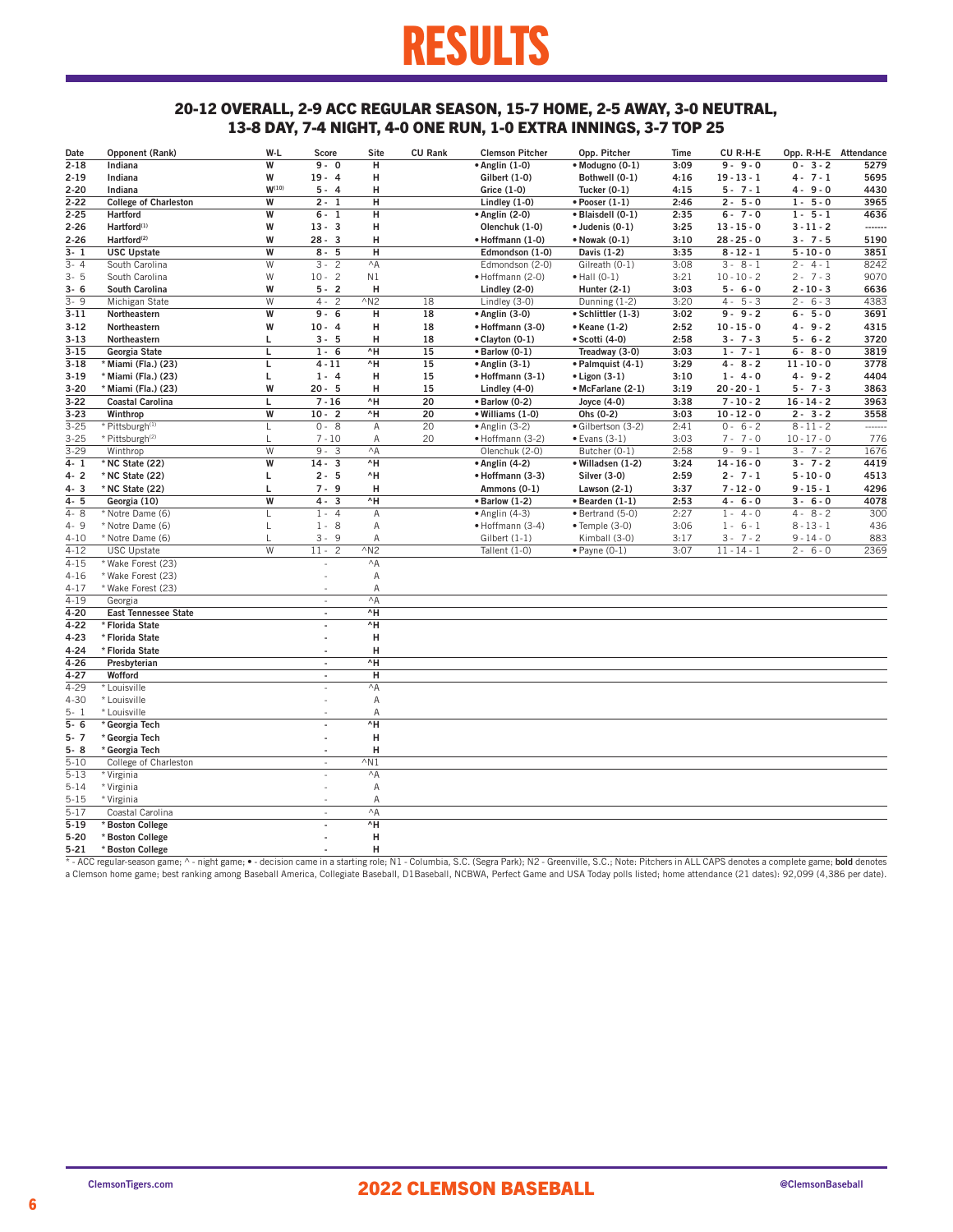## RESULTS

### 20-12 OVERALL, 2-9 ACC REGULAR SEASON, 15-7 HOME, 2-5 AWAY, 3-0 NEUTRAL, 13-8 DAY, 7-4 NIGHT, 4-0 ONE RUN, 1-0 EXTRA INNINGS, 3-7 TOP 25

| Date     | Opponent (Rank)              | W-L        | Score                   | Site           | <b>CU Rank</b> | <b>Clemson Pitcher</b> | Opp. Pitcher             | Time | CU R-H-E      | Opp. R-H-E Attendance |                |
|----------|------------------------------|------------|-------------------------|----------------|----------------|------------------------|--------------------------|------|---------------|-----------------------|----------------|
| $2 - 18$ | Indiana                      | W          | $9 - 0$                 | н              |                | $\bullet$ Anglin (1-0) | · Modugno (0-1)          | 3:09 | $9 - 9 - 0$   | $0 - 3 - 2$           | 5279           |
| $2 - 19$ | Indiana                      | W          | $19 - 4$                | н              |                | Gilbert (1-0)          | Bothwell (0-1)           | 4:16 | $19 - 13 - 1$ | $4 - 7 - 1$           | 5695           |
| $2 - 20$ | Indiana                      | $W^{(10)}$ | $5 - 4$                 | н              |                | Grice (1-0)            | Tucker $(0-1)$           | 4:15 | $5 - 7 - 1$   | $4 - 9 - 0$           | 4430           |
| $2 - 22$ | <b>College of Charleston</b> | W          | $2 - 1$                 | н              |                | Lindley (1-0)          | $\bullet$ Pooser $(1-1)$ | 2:46 | $2 - 5 - 0$   | $1 - 5 - 0$           | 3965           |
| $2 - 25$ | <b>Hartford</b>              | W          | $6 - 1$                 | н              |                | $\bullet$ Anglin (2-0) | · Blaisdell (0-1)        | 2:35 | $6 - 7 - 0$   | $1 - 5 - 1$           | 4636           |
| $2 - 26$ | Hartford <sup>(1)</sup>      | W          | $13 - 3$                | н              |                | Olenchuk (1-0)         | $\bullet$ Judenis (0-1)  | 3:25 | $13 - 15 - 0$ | $3 - 11 - 2$          |                |
| $2 - 26$ | Hartford <sup>(2)</sup>      | W          | $28 - 3$                | н              |                | · Hoffmann (1-0)       | • Nowak (0-1)            | 3:10 | $28 - 25 - 0$ | $3 - 7 - 5$           | 5190           |
| $3 - 1$  | <b>USC Upstate</b>           | W          | $8 - 5$                 | н              |                | Edmondson (1-0)        | Davis (1-2)              | 3:35 | $8 - 12 - 1$  | $5 - 10 - 0$          | 3851           |
| $3 - 4$  | South Carolina               | W          | $3 - 2$                 | $^{\wedge}$ A  |                | Edmondson (2-0)        | Gilreath (0-1)           | 3:08 | $3 - 8 - 1$   | $2 - 4 - 1$           | 8242           |
| $3 - 5$  | South Carolina               | W          | $10 - 2$                | N1             |                | • Hoffmann (2-0)       | $\bullet$ Hall (0-1)     | 3:21 | $10 - 10 - 2$ | $2 - 7 - 3$           | 9070           |
| $3 - 6$  | South Carolina               | W          | $5 - 2$                 | н              |                | Lindley (2-0)          | Hunter $(2-1)$           | 3:03 | $5 - 6 - 0$   | $2 - 10 - 3$          | 6636           |
| $3 - 9$  | Michigan State               | W          | $4 -$<br>$\overline{c}$ | $^{\wedge}$ N2 | 18             | Lindley (3-0)          | Dunning (1-2)            | 3:20 | $4 - 5 - 3$   | $2 - 6 - 3$           | 4383           |
| $3 - 11$ | Northeastern                 | W          | $9 - 6$                 | н              | 18             | • Anglin (3-0)         | • Schlittler (1-3)       | 3:02 | $9 - 9 - 2$   | $6 - 5 - 0$           | 3691           |
| $3-12$   | Northeastern                 | W          | $10 - 4$                | н              | 18             | • Hoffmann (3-0)       | • Keane (1-2)            | 2:52 | $10 - 15 - 0$ | $4 - 9 - 2$           | 4315           |
| $3 - 13$ | Northeastern                 | г          | $3 - 5$                 | н              | 18             | • Clayton (0-1)        | • Scotti (4-0)           | 2:58 | $3 - 7 - 3$   | $5 - 6 - 2$           | 3720           |
| $3 - 15$ | Georgia State                | L          | $1 - 6$                 | ^H             | 15             | $\bullet$ Barlow (0-1) | Treadway (3-0)           | 3:03 | $1 - 7 - 1$   | $6 - 8 - 0$           | 3819           |
| $3 - 18$ | * Miami (Fla.) (23)          | Г          | $4 - 11$                | ^H             | 15             | $\bullet$ Anglin (3-1) | · Palmquist (4-1)        | 3:29 | $4 - 8 - 2$   | $11 - 10 - 0$         | 3778           |
|          | * Miami (Fla.) (23)          | Г          | $1 - 4$                 | н              | 15             | • Hoffmann (3-1)       | $\bullet$ Ligon (3-1)    | 3:10 | $1 - 4 - 0$   | $4 - 9 - 2$           | 4404           |
| $3-19$   |                              | W          | $20 - 5$                | н              | 15             |                        |                          | 3:19 | $20 - 20 - 1$ | $5 - 7 - 3$           | 3863           |
| $3 - 20$ | * Miami (Fla.) (23)          |            | $\overline{7} - 16$     | ^H             | 20             | Lindley (4-0)          | • McFarlane (2-1)        |      |               |                       |                |
| $3 - 22$ | <b>Coastal Carolina</b>      | L          | $10 - 2$                |                |                | $\bullet$ Barlow (0-2) | Joyce (4-0)              | 3:38 | $7 - 10 - 2$  | $16 - 14 - 2$         | 3963           |
| $3 - 23$ | Winthrop                     | W          | $0 - 8$                 | ^H             | 20<br>20       | · Williams (1-0)       | Ohs (0-2)                | 3:03 | $10 - 12 - 0$ | $2 - 3 - 2$           | 3558<br>------ |
| $3 - 25$ | * Pittsburgh <sup>(1)</sup>  | L          |                         | Α              |                | $\bullet$ Anglin (3-2) | · Gilbertson (3-2)       | 2:41 | $0 - 6 - 2$   | $8 - 11 - 2$          |                |
| $3 - 25$ | * Pittsburgh <sup>(2)</sup>  | L          | $7 - 10$                | Α              | 20             | • Hoffmann (3-2)       | $\bullet$ Evans (3-1)    | 3:03 | $7 - 7 - 0$   | $10 - 17 - 0$         | 776            |
| $3 - 29$ | Winthrop                     | W          | $9 - 3$                 | $^{\wedge}$ A  |                | Olenchuk (2-0)         | Butcher (0-1)            | 2:58 | $9 - 9 - 1$   | $3 - 7 - 2$           | 1676           |
| $4 - 1$  | * NC State (22)              | W          | $14 - 3$                | $^{\wedge}$ H  |                | $\bullet$ Anglin (4-2) | · Willadsen (1-2)        | 3:24 | $14 - 16 - 0$ | $3 - 7 - 2$           | 4419           |
| $4 - 2$  | * NC State (22)              | Г          | $2 - 5$                 | ^H             |                | • Hoffmann (3-3)       | <b>Silver (3-0)</b>      | 2:59 | $2 - 7 - 1$   | $5 - 10 - 0$          | 4513           |
| $4 - 3$  | * NC State (22)              | г          | $7 - 9$                 | н              |                | Ammons (0-1)           | Lawson (2-1)             | 3:37 | $7 - 12 - 0$  | $9 - 15 - 1$          | 4296           |
| $4 - 5$  | Georgia (10)                 | W          | $4 - 3$                 | ^H             |                | $\bullet$ Barlow (1-2) | $\bullet$ Bearden (1-1)  | 2:53 | $4 - 6 - 0$   | $3 - 6 - 0$           | 4078           |
| $4 - 8$  | * Notre Dame (6)             | L          | $1 - 4$                 | Α              |                | $\bullet$ Anglin (4-3) | · Bertrand (5-0)         | 2:27 | $1 - 4 - 0$   | $4 - 8 - 2$           | 300            |
| 4-9      | * Notre Dame (6)             | L          | $1 - 8$                 | Α              |                | • Hoffmann (3-4)       | $\bullet$ Temple (3-0)   | 3:06 | $1 - 6 - 1$   | $8 - 13 - 1$          | 436            |
| $4 - 10$ | * Notre Dame (6)             | L          | $3 - 9$                 | Α              |                | Gilbert $(1-1)$        | Kimball (3-0)            | 3:17 | $3 - 7 - 2$   | $9 - 14 - 0$          | 883            |
| $4 - 12$ | <b>USC Upstate</b>           | W          | $11 - 2$                | $^{\wedge}$ N2 |                | Tallent (1-0)          | $\bullet$ Payne (0-1)    | 3:07 | $11 - 14 - 1$ | $2 - 6 - 0$           | 2369           |
| $4 - 15$ | * Wake Forest (23)           |            |                         | $^{\wedge}$ A  |                |                        |                          |      |               |                       |                |
| $4 - 16$ | * Wake Forest (23)           |            |                         | Α              |                |                        |                          |      |               |                       |                |
| $4 - 17$ | * Wake Forest (23)           |            |                         | Α              |                |                        |                          |      |               |                       |                |
| $4 - 19$ | Georgia                      |            | L.                      | $^{\wedge}$ A  |                |                        |                          |      |               |                       |                |
| $4 - 20$ | <b>East Tennessee State</b>  |            | ÷,                      | ^H             |                |                        |                          |      |               |                       |                |
| $4 - 22$ | * Florida State              |            |                         | ^H             |                |                        |                          |      |               |                       |                |
| $4 - 23$ | * Florida State              |            |                         | н              |                |                        |                          |      |               |                       |                |
| 4-24     | * Florida State              |            | ÷,                      | н              |                |                        |                          |      |               |                       |                |
| $4 - 26$ | Presbyterian                 |            | ÷,                      | ^H             |                |                        |                          |      |               |                       |                |
| $4 - 27$ | Wofford                      |            | L.                      | H              |                |                        |                          |      |               |                       |                |
| $4 - 29$ | * Louisville                 |            | J.                      | $^{\wedge}$ A  |                |                        |                          |      |               |                       |                |
| $4 - 30$ | * Louisville                 |            |                         | Α              |                |                        |                          |      |               |                       |                |
| $5 - 1$  | * Louisville                 |            |                         | Α              |                |                        |                          |      |               |                       |                |
| $5 - 6$  | * Georgia Tech               |            | L,                      | $^{\wedge}$ H  |                |                        |                          |      |               |                       |                |
| $5 - 7$  | * Georgia Tech               |            |                         | н              |                |                        |                          |      |               |                       |                |
| $5 - 8$  | * Georgia Tech               |            | ÷.                      | н              |                |                        |                          |      |               |                       |                |
| $5 - 10$ | College of Charleston        |            | i,                      | $^{\wedge}$ N1 |                |                        |                          |      |               |                       |                |
| $5 - 13$ | * Virginia                   |            | ä,                      | $^{\wedge}$ A  |                |                        |                          |      |               |                       |                |
| $5 - 14$ | * Virginia                   |            |                         | Α              |                |                        |                          |      |               |                       |                |
| $5 - 15$ | * Virginia                   |            |                         | Α              |                |                        |                          |      |               |                       |                |
| $5 - 17$ | Coastal Carolina             |            | ÷,                      | $^{\wedge}$ A  |                |                        |                          |      |               |                       |                |
| $5 - 19$ | * Boston College             |            | ä,                      | ^H             |                |                        |                          |      |               |                       |                |
| $5 - 20$ | * Boston College             |            |                         | н              |                |                        |                          |      |               |                       |                |
| $5-21$   | * Boston College             |            |                         | н              |                |                        |                          |      |               |                       |                |

5-21 \*Boston College<br>\* - ACC regular-season game; ^ - night game; • - decision came in a starting role; N1 - Columbia, S.C. (Segra Park); N2 - Greenville, S.C.; Note: Pitchers in ALL CAPS denotes a complete game; bold deno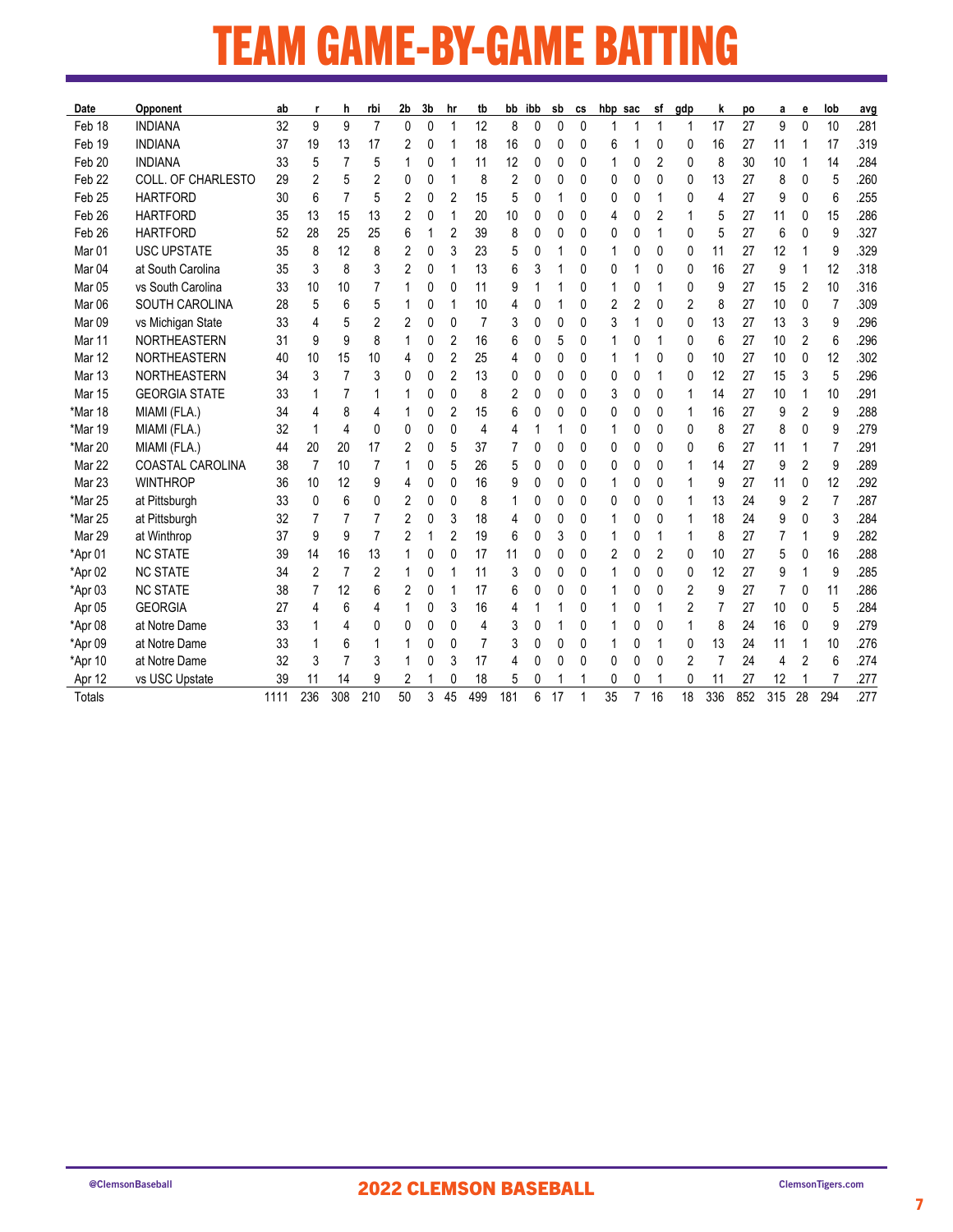## TEAM GAME-BY-GAME BATTING <u> Tanzania (h. 1888).</u>

| Date              | Opponent                  | ab   |          | h              | rbi            | 2b | 3b           | hr             | tb  |     | bb ibb | sb | CS | hbp sac |                | sf | gdp | k   | po  | а   | е  | lob            | avg  |
|-------------------|---------------------------|------|----------|----------------|----------------|----|--------------|----------------|-----|-----|--------|----|----|---------|----------------|----|-----|-----|-----|-----|----|----------------|------|
| Feb 18            | <b>INDIANA</b>            | 32   | 9        | 9              | $\overline{7}$ | 0  | $\mathbf{0}$ | 1              | 12  | 8   | 0      | 0  | 0  |         |                | 1  | 1   | 17  | 27  | 9   | 0  | 10             | .281 |
| Feb 19            | <b>INDIANA</b>            | 37   | 19       | 13             | 17             | 2  | 0            | 1              | 18  | 16  | 0      | 0  | 0  | 6       |                | 0  | 0   | 16  | 27  | 11  |    | 17             | .319 |
| Feb 20            | <b>INDIANA</b>            | 33   | 5        | 7              | 5              | 1  | 0            | 1              | 11  | 12  | 0      | 0  | 0  | 1       | 0              | 2  | 0   | 8   | 30  | 10  |    | 14             | .284 |
| Feb 22            | <b>COLL. OF CHARLESTO</b> | 29   | 2        | 5              | 2              | 0  | 0            | 1              | 8   | 2   | 0      | 0  | 0  | 0       | 0              | 0  | 0   | 13  | 27  | 8   | 0  | 5              | .260 |
| Feb 25            | <b>HARTFORD</b>           | 30   | 6        | 7              | 5              | 2  | 0            | 2              | 15  | 5   | 0      |    | 0  | 0       | 0              |    | 0   | 4   | 27  | 9   | 0  | 6              | .255 |
| Feb 26            | <b>HARTFORD</b>           | 35   | 13       | 15             | 13             | 2  | 0            | 1              | 20  | 10  | 0      | 0  | 0  | 4       | 0              | 2  | 1   | 5   | 27  | 11  | 0  | 15             | .286 |
| Feb 26            | <b>HARTFORD</b>           | 52   | 28       | 25             | 25             | 6  |              | 2              | 39  | 8   | 0      | 0  | 0  | 0       | 0              |    | 0   | 5   | 27  | 6   | 0  | 9              | .327 |
| Mar 01            | <b>USC UPSTATE</b>        | 35   | 8        | 12             | 8              | 2  | 0            | 3              | 23  | 5   | 0      |    | 0  | 1       | 0              | 0  | 0   | 11  | 27  | 12  |    | 9              | .329 |
| Mar <sub>04</sub> | at South Carolina         | 35   | 3        | 8              | 3              | 2  | 0            | 1              | 13  | 6   | 3      |    | 0  | 0       |                | 0  | 0   | 16  | 27  | 9   | 1  | 12             | .318 |
| Mar 05            | vs South Carolina         | 33   | 10       | 10             | 7              |    | 0            | 0              | 11  | 9   |        |    | 0  | 1       | 0              | 1  | 0   | 9   | 27  | 15  | 2  | 10             | .316 |
| Mar 06            | SOUTH CAROLINA            | 28   | 5        | 6              | 5              |    | 0            | 1              | 10  | 4   | 0      |    | 0  | 2       | 2              | 0  | 2   | 8   | 27  | 10  | 0  | $\overline{7}$ | .309 |
| Mar <sub>09</sub> | vs Michigan State         | 33   | 4        | 5              | 2              | 2  | 0            | 0              | 7   | 3   | 0      | 0  | 0  | 3       |                | 0  | 0   | 13  | 27  | 13  | 3  | 9              | .296 |
| Mar 11            | <b>NORTHEASTERN</b>       | 31   | 9        | 9              | 8              | 1  | 0            | 2              | 16  | 6   | 0      | 5  | 0  | 1       | 0              | 1  | 0   | 6   | 27  | 10  | 2  | 6              | .296 |
| Mar 12            | <b>NORTHEASTERN</b>       | 40   | 10       | 15             | 10             | 4  | 0            | $\overline{2}$ | 25  | 4   | 0      | 0  | 0  | 1       |                | 0  | 0   | 10  | 27  | 10  | 0  | 12             | .302 |
| Mar 13            | <b>NORTHEASTERN</b>       | 34   | 3        | $\overline{7}$ | 3              | 0  | 0            | 2              | 13  | 0   | 0      | 0  | 0  | 0       | 0              |    | 0   | 12  | 27  | 15  | 3  | 5              | .296 |
| Mar 15            | <b>GEORGIA STATE</b>      | 33   |          | 7              |                |    | 0            | 0              | 8   | 2   | 0      | 0  | 0  | 3       | 0              | 0  | 1   | 14  | 27  | 10  |    | 10             | .291 |
| *Mar 18           | MIAMI (FLA.)              | 34   |          | 8              | 4              |    | 0            | 2              | 15  | 6   | 0      | 0  | 0  | 0       | 0              | 0  | 1   | 16  | 27  | 9   | 2  | 9              | .288 |
| *Mar 19           | MIAMI (FLA.)              | 32   |          | 4              | 0              | 0  | 0            | 0              | 4   | 4   |        |    | 0  | 1       | 0              | 0  | 0   | 8   | 27  | 8   | 0  | 9              | .279 |
| *Mar 20           | MIAMI (FLA.)              | 44   | 20       | 20             | 17             | 2  | $\mathbf{0}$ | 5              | 37  | 7   | 0      | 0  | 0  | 0       | 0              | 0  | 0   | 6   | 27  | 11  | 1  | $\overline{7}$ | .291 |
| <b>Mar 22</b>     | COASTAL CAROLINA          | 38   | 7        | 10             | 7              |    | 0            | 5              | 26  | 5   | 0      | 0  | 0  | 0       | 0              | 0  |     | 14  | 27  | 9   | 2  | 9              | .289 |
| Mar 23            | <b>WINTHROP</b>           | 36   | 10       | 12             | 9              | 4  | 0            | 0              | 16  | 9   | 0      | 0  | 0  | 1       | 0              | 0  | 1   | 9   | 27  | 11  | 0  | 12             | .292 |
| *Mar 25           | at Pittsburgh             | 33   | $\Omega$ | 6              | 0              | 2  | 0            | 0              | 8   | 1   | 0      | 0  | 0  | 0       | 0              | 0  | 1   | 13  | 24  | 9   | 2  | $\overline{7}$ | 287  |
| *Mar 25           | at Pittsburgh             | 32   |          | 7              | 7              | 2  | 0            | 3              | 18  | 4   | 0      | 0  | 0  |         | 0              | 0  | 1   | 18  | 24  | 9   | 0  | 3              | .284 |
| Mar 29            | at Winthrop               | 37   | 9        | 9              | $\overline{7}$ | 2  | 1            | 2              | 19  | 6   | 0      | 3  | 0  | 1       | 0              | 1  | 1   | 8   | 27  | 7   | 1  | 9              | .282 |
| *Apr 01           | <b>NC STATE</b>           | 39   | 14       | 16             | 13             |    | 0            | 0              | 17  | 11  | 0      | 0  | 0  | 2       | 0              | 2  | 0   | 10  | 27  | 5   | 0  | 16             | .288 |
| *Apr 02           | <b>NC STATE</b>           | 34   | 2        | 7              | 2              |    | 0            | 1              | 11  | 3   | 0      | 0  | 0  |         | 0              | 0  | 0   | 12  | 27  | 9   |    | 9              | .285 |
| *Apr 03           | <b>NC STATE</b>           | 38   |          | 12             | 6              | 2  | 0            | 1              | 17  | 6   | 0      | Ŋ  | 0  |         | 0              | 0  | 2   | 9   | 27  | 7   | 0  | 11             | .286 |
| Apr 05            | <b>GEORGIA</b>            | 27   |          | 6              | 4              |    | 0            | 3              | 16  | 4   |        |    | 0  |         | 0              |    | 2   | 7   | 27  | 10  | 0  | 5              | .284 |
| *Apr 08           | at Notre Dame             | 33   |          | 4              | 0              | 0  | 0            | 0              | 4   | 3   | 0      |    | 0  | 1       | 0              | 0  | 1   | 8   | 24  | 16  | 0  | 9              | .279 |
| *Apr 09           | at Notre Dame             | 33   |          | 6              |                | 1  | 0            | 0              | 7   | 3   | 0      | 0  | 0  | 1       | 0              | 1  | 0   | 13  | 24  | 11  | 1  | 10             | .276 |
| *Apr 10           | at Notre Dame             | 32   | 3        | 7              | 3              |    | 0            | 3              | 17  | 4   | 0      | 0  | 0  | 0       | 0              | 0  | 2   | 7   | 24  | 4   | 2  | 6              | .274 |
| Apr 12            | vs USC Upstate            | 39   | 11       | 14             | 9              | 2  |              | 0              | 18  | 5   | 0      |    |    | 0       | 0              |    | 0   | 11  | 27  | 12  |    |                | .277 |
| Totals            |                           | 1111 | 236      | 308            | 210            | 50 | 3            | 45             | 499 | 181 | 6      | 17 | 1  | 35      | $\overline{7}$ | 16 | 18  | 336 | 852 | 315 | 28 | 294            | 277  |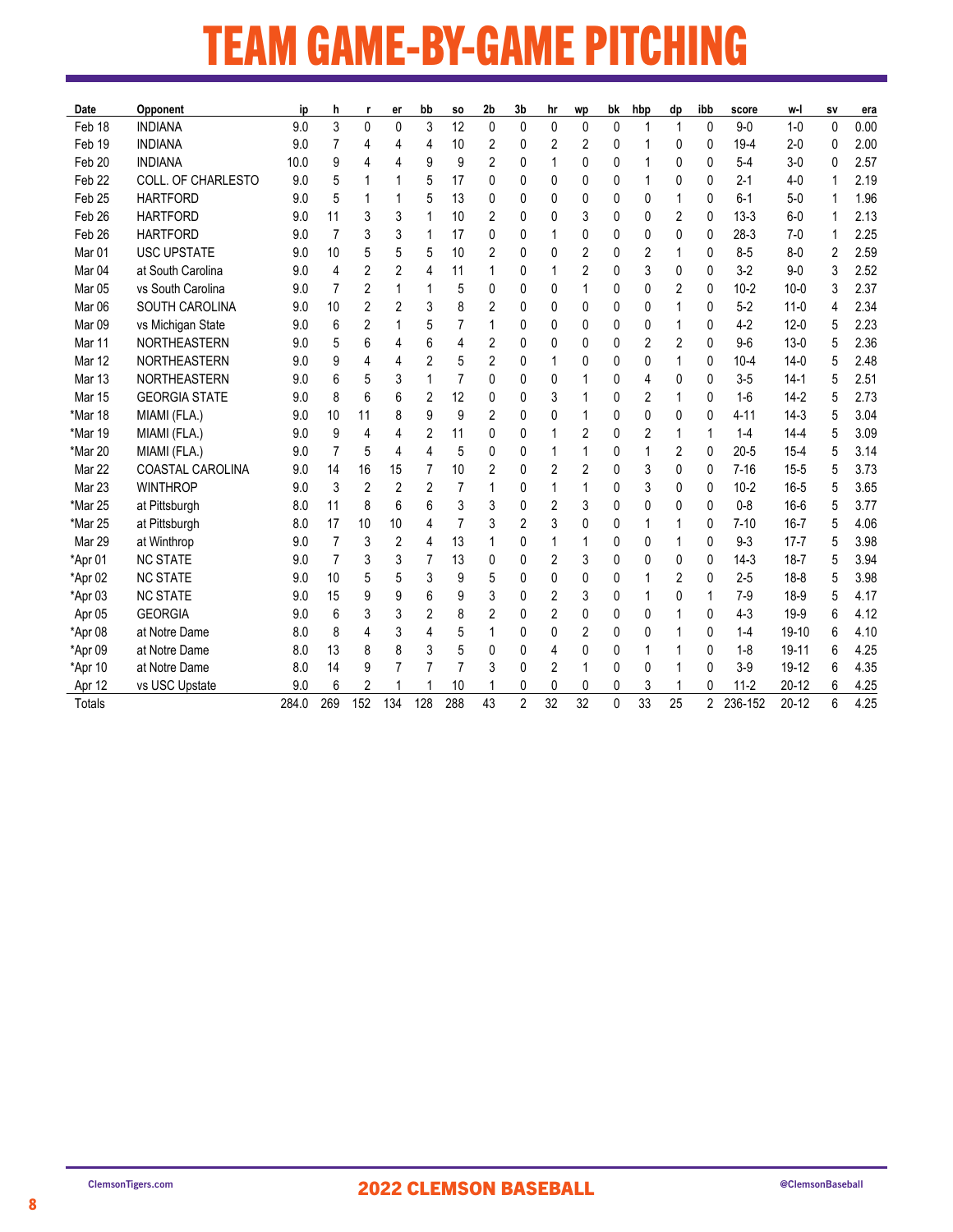## TEAM GAME-BY-GAME PITCHING

| Date              | Opponent                | ip    | h              | r              | er             | bb          | SO. | 2 <sub>b</sub> | 3 <sub>b</sub> | hr           | wp | bk           | hbp | dp             | ibb | score    | w-l       | SV             | era  |
|-------------------|-------------------------|-------|----------------|----------------|----------------|-------------|-----|----------------|----------------|--------------|----|--------------|-----|----------------|-----|----------|-----------|----------------|------|
| Feb 18            | <b>INDIANA</b>          | 9.0   | 3              | $\mathbf{0}$   | 0              | 3           | 12  | $\mathbf{0}$   | 0              | $\mathbf{0}$ | 0  | 0            | 1   | $\mathbf{1}$   | 0   | $9 - 0$  | $1-0$     | $\mathbf{0}$   | 0.00 |
| Feb 19            | <b>INDIANA</b>          | 9.0   | 7              | 4              | 4              | 4           | 10  | 2              | 0              | 2            | 2  | 0            |     | 0              | 0   | $19 - 4$ | $2 - 0$   | 0              | 2.00 |
| Feb 20            | <b>INDIANA</b>          | 10.0  | 9              | 4              | 4              | 9           | 9   | 2              | 0              | 1            | 0  | 0            |     | 0              | 0   | $5 - 4$  | $3-0$     | 0              | 2.57 |
| Feb <sub>22</sub> | COLL. OF CHARLESTO      | 9.0   | 5              |                |                | 5           | 17  | 0              | 0              | $\mathbf{0}$ | 0  | 0            |     | 0              | 0   | $2 - 1$  | $4-0$     | 1              | 2.19 |
| Feb <sub>25</sub> | <b>HARTFORD</b>         | 9.0   | 5              |                |                | 5           | 13  | 0              | 0              | 0            | 0  | 0            | 0   | 1              | 0   | $6 - 1$  | $5-0$     | 1              | 1.96 |
| Feb <sub>26</sub> | <b>HARTFORD</b>         | 9.0   | 11             | 3              | 3              | $\mathbf 1$ | 10  | 2              | 0              | 0            | 3  | 0            | 0   | $\overline{2}$ | 0   | $13-3$   | $6-0$     | 1              | 2.13 |
| Feb 26            | <b>HARTFORD</b>         | 9.0   | $\overline{7}$ | 3              | 3              | 1           | 17  | 0              | 0              |              | 0  | 0            | 0   | $\mathbf{0}$   | 0   | $28-3$   | $7-0$     | 1              | 2.25 |
| Mar <sub>01</sub> | <b>USC UPSTATE</b>      | 9.0   | 10             | 5              | 5              | 5           | 10  | 2              | 0              | $\mathbf{0}$ | 2  | 0            | 2   | 1              | 0   | $8 - 5$  | $8-0$     | $\overline{2}$ | 2.59 |
| Mar <sub>04</sub> | at South Carolina       | 9.0   | 4              | 2              | 2              | 4           | 11  | 1              | 0              | 1            | 2  | 0            | 3   | 0              | 0   | $3-2$    | $9 - 0$   | 3              | 2.52 |
| Mar <sub>05</sub> | vs South Carolina       | 9.0   | 7              | 2              | 1              | 1           | 5   | 0              | 0              | 0            |    | 0            | 0   | 2              | 0   | $10 - 2$ | $10 - 0$  | 3              | 2.37 |
| Mar <sub>06</sub> | SOUTH CAROLINA          | 9.0   | 10             | 2              | 2              | 3           | 8   | 2              | 0              | 0            | 0  | 0            | 0   | 1              | 0   | $5 - 2$  | $11-0$    | 4              | 2.34 |
| Mar 09            | vs Michigan State       | 9.0   | 6              | $\overline{c}$ |                | 5           | 7   | 1              | 0              | 0            | 0  | 0            | 0   | 1              | 0   | $4 - 2$  | $12 - 0$  | 5              | 2.23 |
| Mar 11            | <b>NORTHEASTERN</b>     | 9.0   | 5              | 6              | 4              | 6           | 4   | 2              | 0              | 0            | 0  | 0            | 2   | $\overline{2}$ | 0   | $9-6$    | $13-0$    | 5              | 2.36 |
| Mar 12            | <b>NORTHEASTERN</b>     | 9.0   | 9              | 4              | 4              | 2           | 5   | 2              | 0              | 1            | 0  | 0            | 0   | 1              | 0   | $10 - 4$ | $14-0$    | 5              | 2.48 |
| Mar <sub>13</sub> | <b>NORTHEASTERN</b>     | 9.0   | 6              | 5              | 3              | 1           | 7   | 0              | 0              | 0            |    | 0            | 4   | 0              | 0   | $3-5$    | $14-1$    | 5              | 2.51 |
| <b>Mar 15</b>     | <b>GEORGIA STATE</b>    | 9.0   | 8              | 6              | 6              | 2           | 12  | 0              | 0              | 3            |    | 0            | 2   | 1              | 0   | $1-6$    | $14-2$    | 5              | 2.73 |
| *Mar 18           | MIAMI (FLA.)            | 9.0   | 10             | 11             | 8              | 9           | 9   | 2              | 0              | 0            | 1  | 0            | 0   | 0              | 0   | 4-11     | $14-3$    | 5              | 3.04 |
| *Mar 19           | MIAMI (FLA.)            | 9.0   | 9              | 4              | 4              | 2           | 11  | 0              | 0              | 1            | 2  | 0            | 2   | 1              | 1   | $1 - 4$  | $14 - 4$  | 5              | 3.09 |
| *Mar 20           | MIAMI (FLA.)            | 9.0   | 7              | 5              | 4              | 4           | 5   | 0              | 0              | 1            |    | 0            |     | $\overline{2}$ | 0   | $20 - 5$ | $15 - 4$  | 5              | 3.14 |
| Mar 22            | <b>COASTAL CAROLINA</b> | 9.0   | 14             | 16             | 15             | 7           | 10  | 2              | 0              | 2            | 2  | 0            | 3   | 0              | 0   | $7 - 16$ | $15 - 5$  | 5              | 3.73 |
| Mar 23            | <b>WINTHROP</b>         | 9.0   | 3              | $\overline{2}$ | $\overline{2}$ | 2           | 7   |                | 0              | 1            | 1  | 0            | 3   | $\Omega$       | 0   | $10 - 2$ | $16 - 5$  | 5              | 3.65 |
| *Mar 25           | at Pittsburgh           | 8.0   | 11             | 8              | 6              | 6           | 3   | 3              | 0              | 2            | 3  | 0            | 0   | 0              | 0   | $0 - 8$  | $16 - 6$  | 5              | 3.77 |
| *Mar 25           | at Pittsburgh           | 8.0   | 17             | 10             | 10             | 4           | 7   | 3              | 2              | 3            | 0  | 0            | 1   | 1              | 0   | $7 - 10$ | $16 - 7$  | 5              | 4.06 |
| Mar 29            | at Winthrop             | 9.0   | $\overline{7}$ | 3              | 2              | 4           | 13  |                | 0              | 1            |    | 0            | 0   | 1              | 0   | $9 - 3$  | $17 - 7$  | 5              | 3.98 |
| *Apr 01           | <b>NC STATE</b>         | 9.0   | $\overline{7}$ | 3              | 3              | 7           | 13  | 0              | 0              | 2            | 3  | 0            | 0   | 0              | 0   | $14-3$   | $18 - 7$  | 5              | 3.94 |
| *Apr 02           | <b>NC STATE</b>         | 9.0   | 10             | 5              | 5              | 3           | 9   | 5              | 0              | $\mathbf{0}$ | 0  | 0            |     | 2              | 0   | $2 - 5$  | $18 - 8$  | 5              | 3.98 |
| *Apr 03           | <b>NC STATE</b>         | 9.0   | 15             | 9              | 9              | 6           | 9   | 3              | 0              | 2            | 3  | 0            |     | $\Omega$       | 1   | $7-9$    | $18-9$    | 5              | 4.17 |
| Apr 05            | <b>GEORGIA</b>          | 9.0   | 6              | 3              | 3              | 2           | 8   | 2              | 0              | 2            | 0  | 0            | 0   | 1              | 0   | $4-3$    | $19-9$    | 6              | 4.12 |
| *Apr 08           | at Notre Dame           | 8.0   | 8              | 4              | 3              | 4           | 5   | 1              | 0              | 0            | 2  | 0            | 0   | 1              | 0   | $1 - 4$  | 19-10     | 6              | 4.10 |
| *Apr 09           | at Notre Dame           | 8.0   | 13             | 8              | 8              | 3           | 5   | 0              | 0              | 4            | 0  | 0            |     |                | 0   | $1 - 8$  | 19-11     | 6              | 4.25 |
| *Apr 10           | at Notre Dame           | 8.0   | 14             | 9              |                |             | 7   | 3              | 0              | 2            | 1  | 0            | 0   | 1              | 0   | $3-9$    | 19-12     | 6              | 4.35 |
| Apr 12            | vs USC Upstate          | 9.0   | 6              | $\overline{2}$ |                |             | 10  |                | 0              | 0            | 0  | 0            | 3   |                | 0   | $11 - 2$ | $20 - 12$ | 6              | 4.25 |
| <b>Totals</b>     |                         | 284.0 | 269            | 152            | 134            | 128         | 288 | 43             | 2              | 32           | 32 | $\mathbf{0}$ | 33  | 25             | 2   | 236-152  | $20 - 12$ | 6              | 4.25 |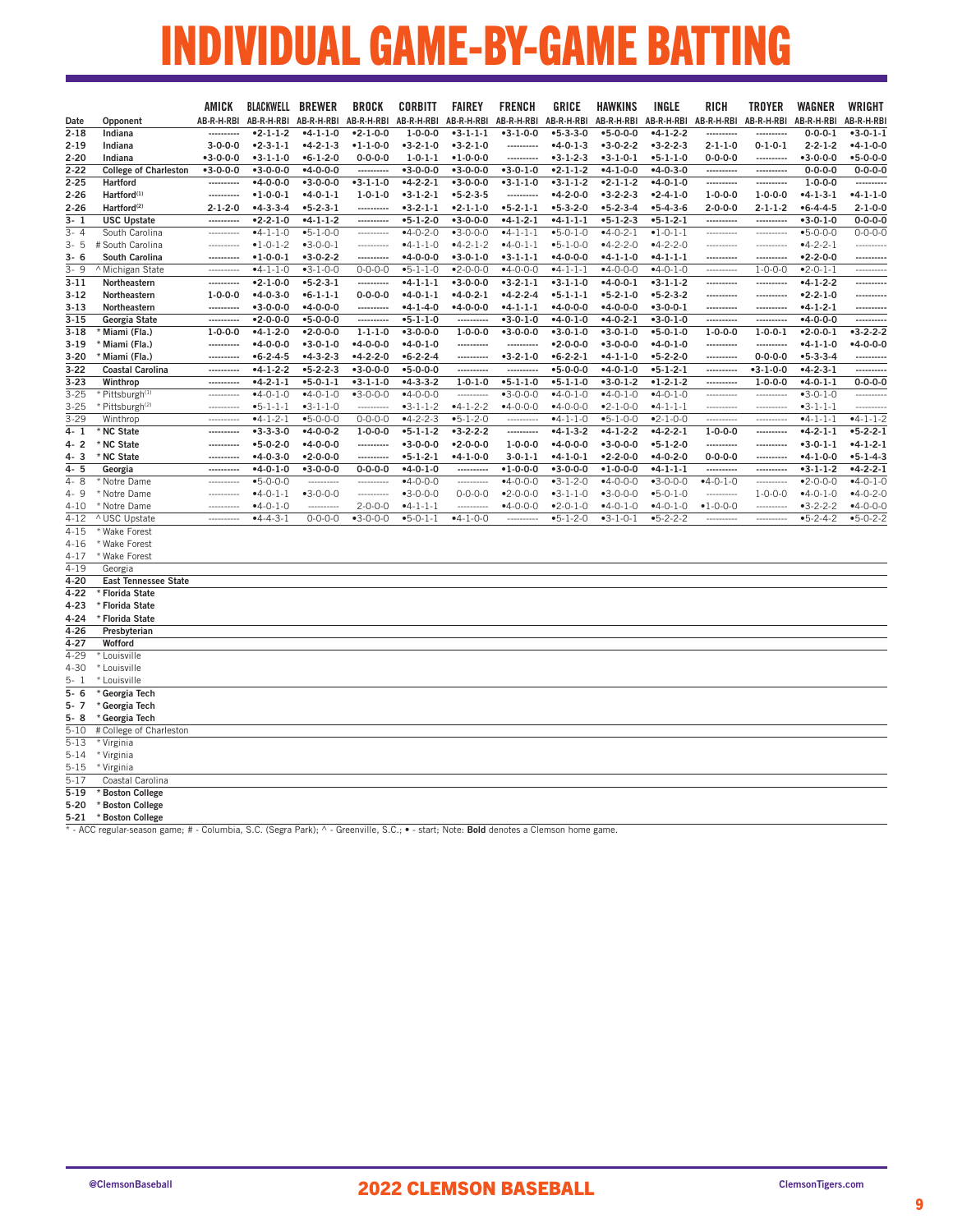# INDIVIDUAL GAME-BY-GAME BATTING

|                     |                                                                                                                                       | AMICK                    | BLACKWELL                      | <b>BREWER</b>            | <b>BROCK</b>                  | CORBITT                        | <b>FAIREY</b>                        | <b>FRENCH</b>                  | <b>GRICE</b>             | <b>HAWKINS</b>                 | INGLE                          | <b>RICH</b>              | <b>TROYER</b>                 | <b>WAGNER</b>            | WRIGHT           |
|---------------------|---------------------------------------------------------------------------------------------------------------------------------------|--------------------------|--------------------------------|--------------------------|-------------------------------|--------------------------------|--------------------------------------|--------------------------------|--------------------------|--------------------------------|--------------------------------|--------------------------|-------------------------------|--------------------------|------------------|
| Date                | Opponent                                                                                                                              |                          | AB-R-H-RBI AB-R-H-RBI          | AB-R-H-RBI               | AB-R-H-RBI                    | AB-R-H-RBI                     | AB-R-H-RBI                           | AB-R-H-RBI                     | AB-R-H-RBI               | AB-R-H-RBI                     | AB-R-H-RBI                     | AB-R-H-RBI               | AB-R-H-RBI                    | AB-R-H-RBI               | AB-R-H-RBI       |
| $2 - 18$            | Indiana                                                                                                                               |                          | $-2 - 1 - 1 - 2$               | $-4-1-1-0$               | $-2 - 1 - 0 - 0$              | $1 - 0 - 0 - 0$                | $-3 - 1 - 1 - 1$                     | $-3-1-0-0$                     | $-5 - 3 - 3 - 0$         | $-5 - 0 - 0 - 0$               | $-4-1-2-2$                     | ----------               |                               | $0 - 0 - 0 - 1$          | $-3 - 0 - 1 - 1$ |
| 2-19                | Indiana                                                                                                                               | $3 - 0 - 0 - 0$          | $-2-3-1-1$                     | $-4-2-1-3$               | $-1 - 1 - 0 - 0$              | $-3-2-1-0$                     | $-3-2-1-0$                           | ----------                     | $-4-0-1-3$               | $-3-0-2-2$                     | $-3-2-2-3$                     | $2 - 1 - 1 - 0$          | $0 - 1 - 0 - 1$               | $2 - 2 - 1 - 2$          | $-4-1-0-0$       |
| $2 - 20$            | Indiana                                                                                                                               | $-3 - 0 - 0 - 0$         | $-3-1-1-0$                     | $-6 - 1 - 2 - 0$         | $0 - 0 - 0 - 0$               | $1 - 0 - 1 - 1$                | $•1 - 0 - 0 - 0$                     | ----------                     | $-3-1-2-3$               | $-3-1-0-1$                     | $-5 - 1 - 1 - 0$               | $0 - 0 - 0 - 0$          | ----------                    | $-3 - 0 - 0 - 0$         | $-5 - 0 - 0 - 0$ |
| $2 - 22$            | <b>College of Charleston</b>                                                                                                          | $-3 - 0 - 0 - 0$         | $-3 - 0 - 0 - 0$               | $-4 - 0 - 0 - 0$         |                               | $-3 - 0 - 0 - 0$               | $-3 - 0 - 0 - 0$                     | $-3-0-1-0$                     | $-2-1-1-2$               | $-4-1-0-0$                     | $-4 - 0 - 3 - 0$               | ----------               | ----------                    | $0 - 0 - 0 - 0$          | $0 - 0 - 0 - 0$  |
| $2 - 25$            | Hartford                                                                                                                              | ----------               | $-4 - 0 - 0 - 0$               | $-3 - 0 - 0 - 0$         | $-3-1-1-0$                    | $-4 - 2 - 2 - 1$               | $-3 - 0 - 0 - 0$                     | $-3-1-1-0$                     | $-3-1-1-2$               | $-2-1-1-2$                     | $-4 - 0 - 1 - 0$               | ----------               | ----------                    | $1 - 0 - 0 - 0$          |                  |
| $2 - 26$            | Hartford <sup>(1)</sup>                                                                                                               | ----------               | $•1 - 0 - 0 - 1$               | $-4 - 0 - 1 - 1$         | $1 - 0 - 1 - 0$               | $-3-1-2-1$                     | $-5 - 2 - 3 - 5$                     | ----------                     | $-4-2-0-0$               | $-3-2-2-3$                     | $-2 - 4 - 1 - 0$               | $1 - 0 - 0 - 0$          | $1 - 0 - 0 - 0$               | $-4-1-3-1$               | $-4-1-1-0$       |
| 2-26                | Hartford <sup>(2)</sup>                                                                                                               | $2 - 1 - 2 - 0$          | $-4-3-3-4$                     | $-5 - 2 - 3 - 1$         | ----------                    | $-3-2-1-1$                     | $-2 - 1 - 1 - 0$                     | $-5-2-1-1$                     | $-5-3-2-0$               | $-5-2-3-4$                     | $-5-4-3-6$                     | $2 - 0 - 0 - 0$          | $2 - 1 - 1 - 2$               | $-6 - 4 - 4 - 5$         | $2 - 1 - 0 - 0$  |
| $3 - 1$             | <b>USC Upstate</b>                                                                                                                    | ----------               | $-2 - 2 - 1 - 0$               | $-4-1-1-2$               | ----------                    | $-5-1-2-0$                     | $-3 - 0 - 0 - 0$                     | $-4-1-2-1$                     | $-4-1-1-1$               | $-5-1-2-3$                     | $-5-1-2-1$                     | ----------               | ----------                    | $-3 - 0 - 1 - 0$         | $0 - 0 - 0 - 0$  |
| $3 - 4$             | South Carolina                                                                                                                        | ----------               | $-4-1-1-0$                     | $-5 - 1 - 0 - 0$         | ----------                    | $-4 - 0 - 2 - 0$               | $-3 - 0 - 0 - 0$                     | $-4-1-1-1$                     | $-5-0-1-0$               | $-4 - 0 - 2 - 1$               | $•1 - 0 - 1 - 1$               | ----------               | ----------                    | $-5 - 0 - 0 - 0$         | $0 - 0 - 0 - 0$  |
| $3 - 5$             | # South Carolina                                                                                                                      | ----------               | $•1 - 0 - 1 - 2$               | $-3 - 0 - 0 - 1$         | ----------                    | $-4-1-1-0$                     | $-4-2-1-2$                           | $-4-0-1-1$                     | $-5-1-0-0$               | $-4-2-2-0$                     | $-4-2-2-0$                     | ----------               | -----------                   | $-4-2-2-1$               | ---------        |
| 3- 6                | South Carolina                                                                                                                        | ----------<br>---------- | $•1 - 0 - 0 - 1$               | $-3-0-2-2$               | ----------                    | $-4 - 0 - 0 - 0$               | $-3 - 0 - 1 - 0$<br>$-2 - 0 - 0 - 0$ | $-3-1-1-1$                     | $-4 - 0 - 0 - 0$         | $-4-1-1-0$<br>$-4 - 0 - 0 - 0$ | $-4-1-1-1$<br>$-4 - 0 - 1 - 0$ | ----------<br>---------- | ----------                    | $-2 - 2 - 0 - 0$         | <br>---------    |
| $3 - 9$<br>$3 - 11$ | ^ Michigan State                                                                                                                      | ----------               | $-4-1-1-0$<br>$-2 - 1 - 0 - 0$ | $-3-1-0-0$<br>$-5-2-3-1$ | $0 - 0 - 0 - 0$<br>---------- | $-5 - 1 - 1 - 0$<br>$-4-1-1-1$ | $-3 - 0 - 0 - 0$                     | $-4 - 0 - 0 - 0$<br>$-3-2-1-1$ | $-4-1-1-1$<br>$-3-1-1-0$ | $-4 - 0 - 0 - 1$               | $-3-1-1-2$                     |                          | $1 - 0 - 0 - 0$<br>---------- | $-2-0-1-1$<br>$-4-1-2-2$ | ----------       |
| $3-12$              | Northeastern<br>Northeastern                                                                                                          | $1 - 0 - 0 - 0$          | $-4 - 0 - 3 - 0$               | $-6 - 1 - 1 - 1$         | $0 - 0 - 0 - 0$               | $-4 - 0 - 1 - 1$               | $-4-0-2-1$                           | $-4 - 2 - 2 - 4$               | $-5 - 1 - 1 - 1$         | $-5-2-1-0$                     | $-5-2-3-2$                     | ----------<br>---------- | ----------                    | $-2-2-1-0$               | ---------        |
| $3 - 13$            | Northeastern                                                                                                                          | ----------               | $-3 - 0 - 0 - 0$               | $-4 - 0 - 0 - 0$         | ----------                    | $-4-1-4-0$                     | $-4 - 0 - 0 - 0$                     | $-4-1-1-1$                     | $-4 - 0 - 0 - 0$         | $-4 - 0 - 0 - 0$               | $-3 - 0 - 0 - 1$               | -----------              | ----------                    | $-4-1-2-1$               | ---------        |
| $3 - 15$            | Georgia State                                                                                                                         | ----------               | $-2 - 0 - 0 - 0$               | $-5 - 0 - 0 - 0$         | ----------                    | $-5 - 1 - 1 - 0$               | ----------                           | $-3-0-1-0$                     | $-4 - 0 - 1 - 0$         | $-4 - 0 - 2 - 1$               | $-3 - 0 - 1 - 0$               | ----------               | ----------                    | $-4 - 0 - 0 - 0$         | ---------        |
| $3-18$              | Miami (Fla.)                                                                                                                          | $1 - 0 - 0 - 0$          | $-4-1-2-0$                     | $-2 - 0 - 0 - 0$         | $1 - 1 - 1 - 0$               | $-3-0-0-0$                     | $1 - 0 - 0 - 0$                      | $-3-0-0-0$                     | $-3-0-1-0$               | $-3-0-1-0$                     | $-5 - 0 - 1 - 0$               | $1 - 0 - 0 - 0$          | $1 - 0 - 0 - 1$               | $-2 - 0 - 0 - 1$         | $-3-2-2-2$       |
| $3-19$              | Miami (Fla.)                                                                                                                          | ----------               | $-4 - 0 - 0 - 0$               | $-3-0-1-0$               | $-4 - 0 - 0 - 0$              | $-4 - 0 - 1 - 0$               | ----------                           | ----------                     | $•2 - 0 - 0 - 0$         | $-3-0-0-0$                     | $-4 - 0 - 1 - 0$               | ----------               | ----------                    | $-4-1-1-0$               | $-4 - 0 - 0 - 0$ |
| $3 - 20$            | Miami (Fla.)                                                                                                                          | ----------               | $-6 - 2 - 4 - 5$               | $-4-3-2-3$               | $-4-2-2-0$                    | $•6 - 2 - 2 - 4$               | ----------                           | $-3-2-1-0$                     | $-6 - 2 - 2 - 1$         | $-4-1-1-0$                     | $-5 - 2 - 2 - 0$               | ----------               | $0 - 0 - 0 - 0$               | $-5-3-3-4$               | ---------        |
| $3 - 22$            | <b>Coastal Carolina</b>                                                                                                               | ----------               | $-4-1-2-2$                     | $-5 - 2 - 2 - 3$         | $-3 - 0 - 0 - 0$              | $-5 - 0 - 0 - 0$               | ----------                           | ----------                     | $-5 - 0 - 0 - 0$         | $-4-0-1-0$                     | $-5 - 1 - 2 - 1$               | ----------               | $-3-1-0-0$                    | $-4 - 2 - 3 - 1$         |                  |
| $3 - 23$            | Winthrop                                                                                                                              | ----------               | $-4-2-1-1$                     | $• 5 - 0 - 1 - 1$        | $-3-1-1-0$                    | $-4-3-3-2$                     | $1 - 0 - 1 - 0$                      | $-5 - 1 - 1 - 0$               | $-5-1-1-0$               | $-3-0-1-2$                     | $•1 - 2 - 1 - 2$               | ----------               | $1 - 0 - 0 - 0$               | $-4 - 0 - 1 - 1$         | $0 - 0 - 0 - 0$  |
| $3 - 25$            | Pittsburgh <sup>(1)</sup>                                                                                                             | ----------               | $-4 - 0 - 1 - 0$               | $-4 - 0 - 1 - 0$         | $-3-0-0-0$                    | $-4 - 0 - 0 - 0$               | ----------                           | $-3 - 0 - 0 - 0$               | $-4-0-1-0$               | $-4-0-1-0$                     | $-4 - 0 - 1 - 0$               | ----------               | ----------                    | $-3-0-1-0$               | ---------        |
| $3 - 25$            | * Pittsburgh <sup>(2)</sup>                                                                                                           | -----------              | $-5 - 1 - 1 - 1$               | $-3-1-1-0$               | ----------                    | $-3-1-1-2$                     | $-4-1-2-2$                           | $-4 - 0 - 0 - 0$               | $-4 - 0 - 0 - 0$         | $-2-1-0-0$                     | $-4-1-1-1$                     | -----------              | -----------                   | $-3-1-1-1$               | ---------        |
| $3 - 29$            | Winthrop                                                                                                                              |                          | $-4-1-2-1$                     | $-5 - 0 - 0 - 0$         | $0 - 0 - 0 - 0$               | $-4-2-2-3$                     | $-5 - 1 - 2 - 0$                     | ----------                     | $-4-1-1-0$               | $-5-1-0-0$                     | $-2-1-0-0$                     |                          | ----------                    | $-4-1-1-1$               | $-4-1-1-2$       |
| 4- 1                | * NC State                                                                                                                            |                          | $-3-3-3-0$                     | $-4 - 0 - 0 - 2$         | $1 - 0 - 0 - 0$               | $-5 - 1 - 1 - 2$               | $-3-2-2-2$                           | ----------                     | $-4-1-3-2$               | $-4-1-2-2$                     | $-4-2-2-1$                     | $1 - 0 - 0 - 0$          | ----------                    | $-4-2-1-1$               | $-5 - 2 - 2 - 1$ |
| 4-2                 | * NC State                                                                                                                            |                          | $•5-0-2-0$                     | $-4 - 0 - 0 - 0$         | ----------                    | $-3-0-0-0$                     | $•2 - 0 - 0 - 0$                     | $1 - 0 - 0 - 0$                | $-4 - 0 - 0 - 0$         | $-3-0-0-0$                     | $-5-1-2-0$                     | ----------               | ----------                    | $-3-0-1-1$               | $-4-1-2-1$       |
| 4-3                 | * NC State                                                                                                                            | ----------               | $-4 - 0 - 3 - 0$               | $•2 - 0 - 0 - 0$         | ----------                    | $-5 - 1 - 2 - 1$               | $-4-1-0-0$                           | $3 - 0 - 1 - 1$                | $-4-1-0-1$               | $-2 - 2 - 0 - 0$               | $-4 - 0 - 2 - 0$               | $0 - 0 - 0 - 0$          | ----------                    | $-4-1-0-0$               | $-5 - 1 - 4 - 3$ |
| 4- 5                | Georgia                                                                                                                               |                          | $-4 - 0 - 1 - 0$               | $-3 - 0 - 0 - 0$         | $0 - 0 - 0 - 0$               | $-4 - 0 - 1 - 0$               | ----------                           | $•1 - 0 - 0 - 0$               | $-3 - 0 - 0 - 0$         | $•1 - 0 - 0 - 0$               | $-4-1-1-1$                     | ----------               | ----------                    | $-3-1-1-2$               | $-4-2-2-1$       |
| 4-8                 | Notre Dame                                                                                                                            |                          | $-5 - 0 - 0 - 0$               | ----------               | ----------                    | $-4 - 0 - 0 - 0$               | ----------                           | $-4 - 0 - 0 - 0$               | $-3-1-2-0$               | $-4 - 0 - 0 - 0$               | $-3-0-0-0$                     | $-4 - 0 - 1 - 0$         | -----------                   | $•2 - 0 - 0 - 0$         | $-4 - 0 - 1 - C$ |
| 4-9                 | * Notre Dame                                                                                                                          |                          | $-4-0-1-1$                     | $-3-0-0-0$               | ----------                    | $-3-0-0-0$                     | $0 - 0 - 0 - 0$                      | $•2 - 0 - 0 - 0$               | $-3-1-1-0$               | $-3-0-0-0$                     | $-5 - 0 - 1 - 0$               | ----------               | $1 - 0 - 0 - 0$               | $-4-0-1-0$               | $-4 - 0 - 2 - C$ |
| 4-10                | * Notre Dame                                                                                                                          |                          | $-4 - 0 - 1 - 0$               |                          | $2 - 0 - 0 - 0$               | $-4-1-1-1$                     | ---------                            | $-4 - 0 - 0 - 0$               | $-2-0-1-0$               | $-4-0-1-0$                     | $-4 - 0 - 1 - 0$               | $•1 - 0 - 0 - 0$         | ----------                    | $-3-2-2-2$               | $-4 - 0 - 0 - C$ |
| $4 - 12$            | ^ USC Upstate                                                                                                                         |                          | $-4-4-3-1$                     | $0 - 0 - 0 - 0$          | $-3-0-0-0$                    | $-5-0-1-1$                     | $-4-1-0-0$                           | ----------                     | $-5-1-2-0$               | $-3-1-0-1$                     | $-5-2-2-2$                     | ----------               | ----------                    | $-5-2-4-2$               | $-5 - 0 - 2 - 2$ |
| $4 - 15$            | * Wake Forest                                                                                                                         |                          |                                |                          |                               |                                |                                      |                                |                          |                                |                                |                          |                               |                          |                  |
| 4-16                | * Wake Forest                                                                                                                         |                          |                                |                          |                               |                                |                                      |                                |                          |                                |                                |                          |                               |                          |                  |
| $4 - 17$            | * Wake Forest                                                                                                                         |                          |                                |                          |                               |                                |                                      |                                |                          |                                |                                |                          |                               |                          |                  |
| $4 - 19$            | Georgia                                                                                                                               |                          |                                |                          |                               |                                |                                      |                                |                          |                                |                                |                          |                               |                          |                  |
| 4-20                | <b>East Tennessee State</b>                                                                                                           |                          |                                |                          |                               |                                |                                      |                                |                          |                                |                                |                          |                               |                          |                  |
| 4-22                | <b>Florida State</b>                                                                                                                  |                          |                                |                          |                               |                                |                                      |                                |                          |                                |                                |                          |                               |                          |                  |
| 4-23                | * Florida State                                                                                                                       |                          |                                |                          |                               |                                |                                      |                                |                          |                                |                                |                          |                               |                          |                  |
| 4-24                | * Florida State                                                                                                                       |                          |                                |                          |                               |                                |                                      |                                |                          |                                |                                |                          |                               |                          |                  |
| 4-26                | Presbyterian                                                                                                                          |                          |                                |                          |                               |                                |                                      |                                |                          |                                |                                |                          |                               |                          |                  |
| 4-27                | Wofford                                                                                                                               |                          |                                |                          |                               |                                |                                      |                                |                          |                                |                                |                          |                               |                          |                  |
| $4 - 29$            | * Louisville                                                                                                                          |                          |                                |                          |                               |                                |                                      |                                |                          |                                |                                |                          |                               |                          |                  |
| $4 - 30$            | * Louisville                                                                                                                          |                          |                                |                          |                               |                                |                                      |                                |                          |                                |                                |                          |                               |                          |                  |
| $5 - 1$             | * Louisville                                                                                                                          |                          |                                |                          |                               |                                |                                      |                                |                          |                                |                                |                          |                               |                          |                  |
| 5-6                 | Georgia Tech                                                                                                                          |                          |                                |                          |                               |                                |                                      |                                |                          |                                |                                |                          |                               |                          |                  |
| 5-7                 | Georgia Tech                                                                                                                          |                          |                                |                          |                               |                                |                                      |                                |                          |                                |                                |                          |                               |                          |                  |
| 5-8<br>$5 - 10$     | Georgia Tech                                                                                                                          |                          |                                |                          |                               |                                |                                      |                                |                          |                                |                                |                          |                               |                          |                  |
| $5 - 13$            | # College of Charleston<br>* Virginia                                                                                                 |                          |                                |                          |                               |                                |                                      |                                |                          |                                |                                |                          |                               |                          |                  |
| 5-14                | * Virginia                                                                                                                            |                          |                                |                          |                               |                                |                                      |                                |                          |                                |                                |                          |                               |                          |                  |
| 5-15                | * Virginia                                                                                                                            |                          |                                |                          |                               |                                |                                      |                                |                          |                                |                                |                          |                               |                          |                  |
| $5 - 17$            | Coastal Carolina                                                                                                                      |                          |                                |                          |                               |                                |                                      |                                |                          |                                |                                |                          |                               |                          |                  |
| $5 - 19$            | <b>Boston College</b>                                                                                                                 |                          |                                |                          |                               |                                |                                      |                                |                          |                                |                                |                          |                               |                          |                  |
| $5 - 20$            | <b>Boston College</b>                                                                                                                 |                          |                                |                          |                               |                                |                                      |                                |                          |                                |                                |                          |                               |                          |                  |
| 5-21                | * Boston College                                                                                                                      |                          |                                |                          |                               |                                |                                      |                                |                          |                                |                                |                          |                               |                          |                  |
|                     | * - ACC regular-season game; # - Columbia, S.C. (Segra Park); ^ - Greenville, S.C.; • - start; Note: Bold denotes a Clemson home game |                          |                                |                          |                               |                                |                                      |                                |                          |                                |                                |                          |                               |                          |                  |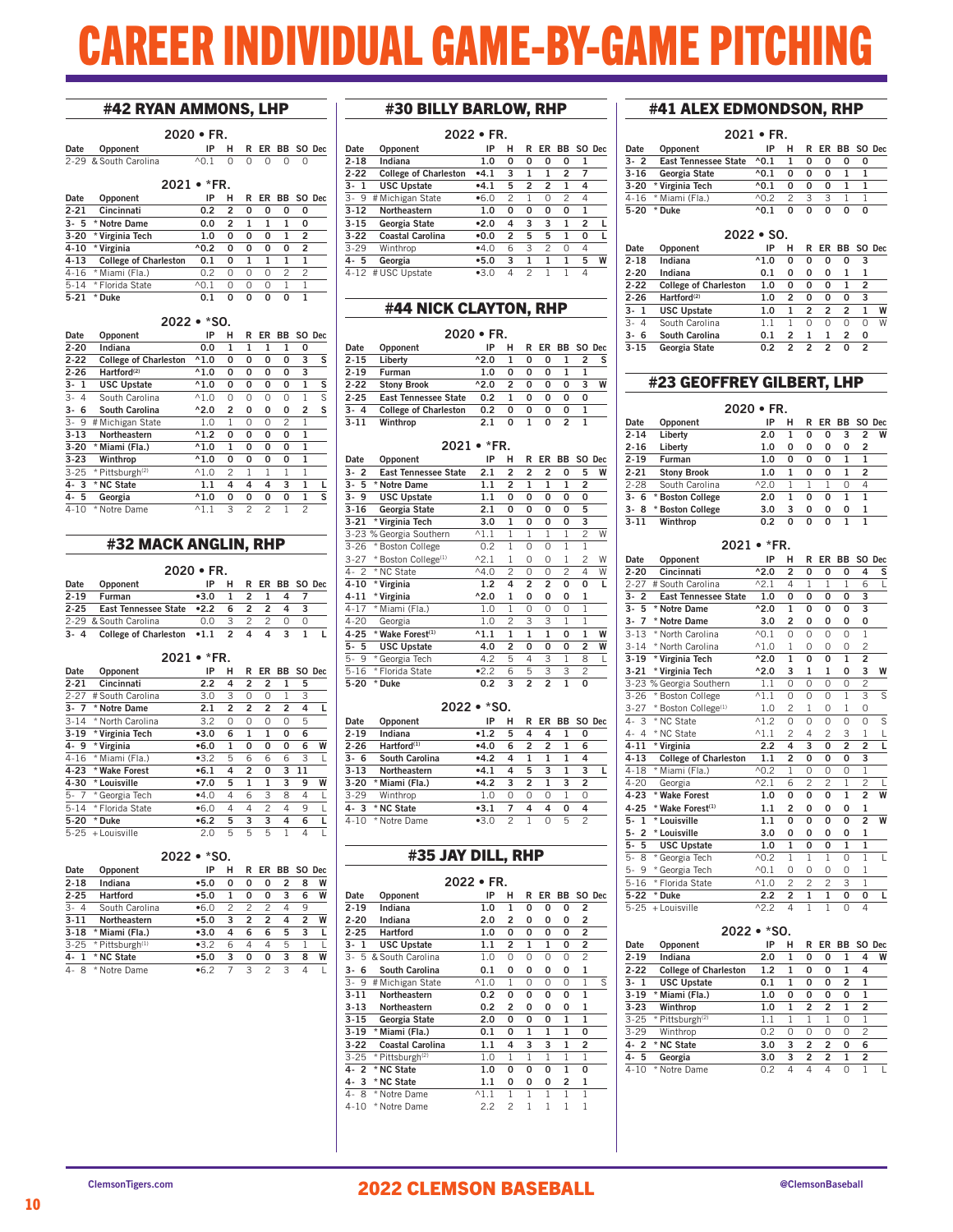# EER INDIVIDUAL GAME-BY-GAME PITCHING

### #42 RYAN AMMONS, LHP

|          | $2020 \cdot FR.$<br>R ER BB SO Dec |                      |                          |   |   |                |          |  |  |  |  |  |  |  |  |
|----------|------------------------------------|----------------------|--------------------------|---|---|----------------|----------|--|--|--|--|--|--|--|--|
| Date     | Opponent                           | ΙP                   | н.                       |   |   |                |          |  |  |  |  |  |  |  |  |
|          | 2-29 & South Carolina              | $\wedge$ 0.1 0 0 0 0 |                          |   |   | റ              |          |  |  |  |  |  |  |  |  |
|          | $2021 \cdot *FR$                   |                      |                          |   |   |                |          |  |  |  |  |  |  |  |  |
| Date     | Opponent                           | IP                   | н                        |   |   | R ER BB SO Dec |          |  |  |  |  |  |  |  |  |
| $2 - 21$ | Cincinnati                         | 0.2                  | $\overline{\phantom{a}}$ | O | 0 | o              | $\Omega$ |  |  |  |  |  |  |  |  |

| 2-21     | Cincinnati                 | 0.2          | -20 |   | 0 | 0 |   |  |
|----------|----------------------------|--------------|-----|---|---|---|---|--|
| $3 - 5$  | * Notre Dame               | 0.0          | 2   |   |   |   | O |  |
|          | 3-20 * Virginia Tech       | 1.0          | O   | O | O |   |   |  |
| 4-10     | * Virginia                 | ^0.2         | O   | O | O | O | 2 |  |
|          | 4-13 College of Charleston | 0.1          | O   |   |   |   |   |  |
|          | 4-16 * Miami (Fla.)        | 02           | Ω   | Ω | O |   |   |  |
| $5 - 14$ | * Florida State            | $\wedge$ 0 1 | Ω   | Ω | O |   |   |  |
| $5 - 21$ | * Duke                     | 0.1          | 0   | o | 0 | o |   |  |

### 2022 • \*SO.

|            | ----                         |                |                |   |    |    |              |        |
|------------|------------------------------|----------------|----------------|---|----|----|--------------|--------|
| Date       | Opponent                     | IP             | н              | R | ER | ВB |              | SO Dec |
| $2 - 20$   | Indiana                      | 0.0            | 1              | 1 | 1  | 1  | 0            |        |
| $2 - 22$   | <b>College of Charleston</b> | $^{\wedge}1.0$ | 0              | 0 | 0  | 0  | 3            | s      |
| $2 - 26$   | Hartford <sup>(2)</sup>      | $^{\wedge}1.0$ | 0              | 0 | 0  | 0  | 3            |        |
| 3-1        | <b>USC Upstate</b>           | $^{\wedge}1.0$ | 0              | 0 | 0  | 0  | 1            | S      |
| $3-$<br>4  | South Carolina               | $^{\wedge}1.0$ | $\Omega$       | 0 | 0  | 0  | 1            | S      |
| 6<br>3-    | South Carolina               | $^{\wedge}2.0$ | $\overline{2}$ | 0 | 0  | 0  | 2            | s      |
| $3-$<br>-9 | # Michigan State             | 1.0            | 1              | 0 | 0  | 2  | 1            |        |
| $3 - 13$   | Northeastern                 | $^{\wedge}1.2$ | 0              | 0 | 0  | 0  | 1            |        |
| $3 - 20$   | * Miami (Fla.)               | $^{\wedge}1.0$ | $\mathbf{1}$   | 0 | 0  | 0  | $\mathbf{1}$ |        |
| $3 - 23$   | Winthrop                     | $^{\wedge}1.0$ | 0              | 0 | 0  | 0  | 1            |        |
| $3 - 25$   | * Pittsburgh <sup>(2)</sup>  | $^{\wedge}1.0$ | 2              | 1 | 1  | 1  | 1            |        |
| $4 - 3$    | * NC State                   | 1.1            | 4              | 4 | 4  | 3  | 1            |        |
| $4 - 5$    | Georgia                      | $^{\wedge}1.0$ | 0              | 0 | 0  | 0  | 1            | S      |
| $4 - 10$   | * Notre Dame                 | $^{\wedge}1.1$ | 3              | 2 | 2  | 1  | 2            |        |

### #32 MACK ANGLIN, RHP

| Date     | Opponent                           | IP     | н.            |            |                | R ER BB SO Dec |  |
|----------|------------------------------------|--------|---------------|------------|----------------|----------------|--|
| $2 - 19$ | Furman                             | $-3.0$ |               | $1\quad 2$ | л.             |                |  |
| $2 - 25$ | East Tennessee State .2.2          |        |               | 62         | $\mathbf{c}$   |                |  |
|          | 2-29 & South Carolina              | n n    | $\mathcal{R}$ |            | 2 <sub>2</sub> |                |  |
|          | 3-4 College of Charleston .1.1 2 4 |        |               |            |                |                |  |

### 2021 • \*FR.

| Date     | Opponent          | IP   | н              | R              | ER             | BB             |    | SO Dec |
|----------|-------------------|------|----------------|----------------|----------------|----------------|----|--------|
| $2 - 21$ | Cincinnati        | 2.2  | 4              | 2              | 2              | 1              | 5  |        |
| $2 - 27$ | # South Carolina  | 3.0  | 3              | 0              | O              | 1              | 3  |        |
| $3 - 7$  | * Notre Dame      | 2.1  | $\overline{2}$ | $\overline{2}$ | $\overline{2}$ | $\overline{2}$ | 4  | L      |
| $3 - 14$ | * North Carolina  | 3.2  | 0              | Ω              | $\Omega$       | $\Omega$       | 5  |        |
| $3 - 19$ | * Virginia Tech   | •3.0 | 6              | 1              | 1              | 0              | 6  |        |
| 4.9      | * Virginia        | •6.0 | 1              | 0              | 0              | 0              | 6  | W      |
| $4 - 16$ | * Miami (Fla.)    | •3.2 | 5              | 6              | 6              | 6              | 3  |        |
| $4 - 23$ | * Wake Forest     | •6.1 | 4              | 2              | 0              | 3              | 11 |        |
| $4 - 30$ | * Louisville      | •7.0 | 5              | 1              | 1              | 3              | 9  | W      |
| $5 - 7$  | * Georgia Tech    | •4.0 | 4              | 6              | 3              | 8              | 4  | L      |
| $5 - 14$ | * Florida State   | •6.0 | 4              | 4              | 2              | 4              | 9  |        |
| $5 - 20$ | * Duke            | •6.2 | 5              | 3              | 3              | 4              | 6  | п      |
|          | 5-25 + Louisville | 2.0  | 5              | 5              | 5              | 1              | 4  |        |

### 2022 • \*SO.

| Date                   | Opponent                    | IP   | н | R              | FR. |   | BB SO Dec |   |
|------------------------|-----------------------------|------|---|----------------|-----|---|-----------|---|
| $2 - 18$               | Indiana                     | •5.0 | 0 | 0              | 0   | 2 | 8         | W |
| $2 - 25$               | <b>Hartford</b>             | •5.0 |   | 0              | 0   | 3 | 6         | W |
| $3-$<br>$\overline{4}$ | South Carolina              | •6.0 | 2 | 2              | 2   | 4 | 9         |   |
| $3 - 11$               | Northeastern                | •5.0 | 3 | $\overline{2}$ | 2   | 4 | 2         | W |
| $3 - 18$               | * Miami (Fla.)              | •3.0 | 4 | 6              | 6   | 5 | 3         |   |
| $3 - 25$               | * Pittsburgh <sup>(1)</sup> | •32  | 6 | 4              | 4   | 5 |           |   |
| -1                     | * NC State                  | •5.0 | 3 | 0              | 0   | 3 | 8         | W |
| 8                      | Notre Dame<br>×             | •62  |   | 3              | 2   | 3 | Δ         |   |

### #30 BILLY BARLOW, RHP

|          | 2022 • FR.                   |        |   |   |    |                |   |        |  |  |  |
|----------|------------------------------|--------|---|---|----|----------------|---|--------|--|--|--|
| Date     | Opponent                     | IP     | н | R | ER | ВB             |   | SO Dec |  |  |  |
| $2 - 18$ | Indiana                      | 1.0    | 0 | 0 | 0  | 0              | 1 |        |  |  |  |
| $2 - 22$ | <b>College of Charleston</b> | $-4.1$ | 3 | 1 | 1  | $\overline{2}$ | 7 |        |  |  |  |
| $3 - 1$  | <b>USC Upstate</b>           | $-4.1$ | 5 | 2 | 2  | 1              | 4 |        |  |  |  |
| $3 - 9$  | # Michigan State             | •6.0   | 2 |   | Ω  | 2              | 4 |        |  |  |  |
| 3-12     | Northeastern                 | 1.0    | 0 | 0 | 0  | 0              | 1 |        |  |  |  |
| $3 - 15$ | Georgia State                | •2.0   | 4 | 3 | 3  | 1              | 2 | г      |  |  |  |
| $3-22$   | <b>Coastal Carolina</b>      | •0.0   | 2 | 5 | 5  | 1              | 0 |        |  |  |  |
| $3-29$   | Winthrop                     | •4.0   | 6 | 3 | 2  | 0              | 4 |        |  |  |  |
| 4-5      | Georgia                      | •5.0   | 3 | 1 | 1  | 1              | 5 | W      |  |  |  |
| 4-12     | # USC Upstate                | $-3.0$ | Δ | 2 |    |                | 4 |        |  |  |  |

### #44 NICK CLAYTON, RHP

### 2020 • FR.

| Date     | Opponent                     | IP             |   | R | FR. | BB. | SO Dec |   |
|----------|------------------------------|----------------|---|---|-----|-----|--------|---|
| $2 - 15$ | Liberty                      | $^{\prime}2.0$ |   | O | O   |     |        | s |
| $2 - 19$ | Furman                       | 1.0            | o | o | O   |     |        |   |
| 2-22     | <b>Stony Brook</b>           | $^{\prime}2.0$ | 2 | O | O   | o   | 3      | W |
| $2 - 25$ | <b>East Tennessee State</b>  | 0.2            |   | O | O   | o   | O      |   |
| $3 - 4$  | <b>College of Charleston</b> | 0.2            | O | O | O   | Ω   |        |   |
| 3-11     | Winthrop                     | 2.1            | o |   | n   |     |        |   |
|          |                              |                |   |   |     |     |        |   |

### 2021 • \*FR.

| Date     | Opponent                        | IP             | н              | R              | ER             | BB             | SO.          | Dec |
|----------|---------------------------------|----------------|----------------|----------------|----------------|----------------|--------------|-----|
| 2<br>3-  | <b>East Tennessee State</b>     | 2.1            | 2              | 2              | 2              | 0              | 5            | W   |
| 3-<br>5  | * Notre Dame                    | 1.1            | 2              | 1              | 1              | 1              | 2            |     |
| $3 - 9$  | <b>USC Upstate</b>              | 1.1            | 0              | 0              | 0              | 0              | 0            |     |
| $3 - 16$ | Georgia State                   | 2.1            | 0              | 0              | 0              | 0              | 5            |     |
| $3 - 21$ | * Virginia Tech                 | 3.0            | $\mathbf{1}$   | 0              | 0              | 0              | 3            |     |
|          | 3-23 % Georgia Southern         | $^{\wedge}1.1$ | 1              | 1              | 1              | 1              | 2            | W   |
| $3 - 26$ | * Boston College                | 0.2            | 1              | 0              | 0              | 1              | 1            |     |
| $3 - 27$ | * Boston College <sup>(1)</sup> | $^{\wedge}2.1$ | 1              | 0              | 0              | 1              | 2            | W   |
| 4-2      | * NC State                      | $^{\wedge}4.0$ | $\mathfrak{p}$ | 0              | $\Omega$       | $\overline{c}$ | 4            | W   |
| 4-10     | * Virginia                      | 1.2            | 4              | $\overline{2}$ | 2              | 0              | 0            | L   |
| $4 - 11$ | * Virginia                      | $^{\wedge}2.0$ | $\mathbf{1}$   | 0              | 0              | 0              | 1            |     |
| $4 - 17$ | * Miami (Fla.)                  | 1.0            | 1              | 0              | 0              | 0              | 1            |     |
| $4 - 20$ | Georgia                         | 1.0            | $\mathfrak{p}$ | 3              | 3              | 1              | 1            |     |
| $4 - 25$ | * Wake Forest <sup>(1)</sup>    | $^{\wedge}1.1$ | $\mathbf{1}$   | $\mathbf{1}$   | $\mathbf{1}$   | 0              | $\mathbf{1}$ | W   |
| 5-<br>5  | <b>USC Upstate</b>              | 4.0            | $\overline{a}$ | 0              | 0              | 0              | 2            | W   |
| 9<br>5-  | * Georgia Tech                  | 4.2            | 5              | 4              | 3              | 1              | 8            | L   |
| $5 - 16$ | * Florida State                 | •2.2           | 6              | 5              | 3              | 3              | 2            |     |
| $5 - 20$ | * Duke                          | 0.2            | 3              | $\overline{a}$ | $\overline{a}$ | $\mathbf{1}$   | 0            |     |

### 2022 • \*SO.

| Date     | Opponent                | IP    | н | R |                | ER BB SO Dec |   |  |
|----------|-------------------------|-------|---|---|----------------|--------------|---|--|
| $2 - 19$ | Indiana                 | •1.2  | 5 | 4 | 4              |              | 0 |  |
| $2 - 26$ | Hartford <sup>(1)</sup> | •4.0  | 6 | 2 | $\mathfrak{p}$ |              | 6 |  |
| $3 - 6$  | <b>South Carolina</b>   | •4.2  | 4 |   | 1              |              | 4 |  |
| $3 - 13$ | Northeastern            | •4.1  | 4 | 5 | 3              |              | 3 |  |
| $3 - 20$ | * Miami (Fla.)          | •4.2  | 3 | 2 | 1              | 3            | 2 |  |
| $3-29$   | Winthrop                | 1.0   | Ω | Ω | O              |              | 0 |  |
| $4 - 3$  | * NC State              | •3.1  | 7 | 4 | 4              | 0            | 4 |  |
| $4 - 10$ | Notre Dame<br>*         | $-30$ | 2 |   | U              | 5            | 2 |  |
|          |                         |       |   |   |                |              |   |  |

### #35 JAY DILL, RHP

|           | 2022 • FR.                  |                |                |   |    |    |              |        |  |
|-----------|-----------------------------|----------------|----------------|---|----|----|--------------|--------|--|
| Date      | Opponent                    | IP             | н              | R | ER | BB |              | SO Dec |  |
| $2 - 19$  | Indiana                     | 1.0            | $\mathbf{1}$   | 0 | O  | 0  | 2            |        |  |
| $2 - 20$  | Indiana                     | 2.0            | 2              | 0 | 0  | 0  | 2            |        |  |
| $2 - 25$  | <b>Hartford</b>             | 1.0            | 0              | 0 | 0  | 0  | 2            |        |  |
| 3-<br>1   | <b>USC Upstate</b>          | 1.1            | 2              | 1 | 1  | 0  | 2            |        |  |
| $3-$<br>5 | & South Carolina            | 1.0            | 0              | 0 | 0  | 0  | 2            |        |  |
| 3-<br>6   | South Carolina              | 0.1            | 0              | 0 | 0  | 0  | 1            |        |  |
| $3 - 9$   | # Michigan State            | $^{\wedge}1.0$ | 1              | 0 | 0  | 0  | 1            | S      |  |
| $3 - 11$  | Northeastern                | 0.2            | 0              | 0 | 0  | 0  | $\mathbf{1}$ |        |  |
| $3 - 13$  | Northeastern                | 0.2            | 2              | 0 | 0  | 0  | 1            |        |  |
| $3 - 15$  | Georgia State               | 2.0            | 0              | 0 | 0  | 1  | $\mathbf{1}$ |        |  |
| $3 - 19$  | * Miami (Fla.)              | 0.1            | 0              | 1 | 1  | 1  | 0            |        |  |
| $3 - 22$  | <b>Coastal Carolina</b>     | $1.1\,$        | 4              | 3 | 3  | 1  | 2            |        |  |
| $3 - 25$  | * Pittsburgh <sup>(2)</sup> | 1.0            | 1              | 1 | 1  | 1  | 1            |        |  |
| $4 - 2$   | * NC State                  | 1.0            | 0              | 0 | 0  | 1  | 0            |        |  |
| $4 - 3$   | * NC State                  | 1.1            | 0              | 0 | 0  | 2  | 1            |        |  |
| 4-<br>8   | * Notre Dame                | $^{\wedge}1.1$ | 1              | 1 | 1  | 1  | 1            |        |  |
| $4 - 10$  | * Notre Dame                | 2.2            | $\overline{c}$ | 1 | 1  | 1  | 1            |        |  |

### #41 ALEX EDMONDSON, RHP

| $2021 \cdot FR$ |                      |                        |               |               |    |              |   |  |  |  |
|-----------------|----------------------|------------------------|---------------|---------------|----|--------------|---|--|--|--|
| Date            | Opponent             | IP                     | н.            | R             |    | ER BB SO Dec |   |  |  |  |
| 3-2             | East Tennessee State | $^{\wedge}0.1$         | -1            | O             | o  | o            | O |  |  |  |
| 3-16            | Georgia State        | 0.1                    | O             | O             | o  |              |   |  |  |  |
|                 | 3-20 * Virginia Tech | 0.1                    | O             | O             | ŋ  |              |   |  |  |  |
|                 | 4-16 * Miami (Fla.)  | $\land$ $\land$ $\lor$ | $\mathcal{P}$ | $\mathcal{L}$ | ્ર |              |   |  |  |  |
| 5-20            | * Duke               | 0.1                    | n             | O             | ŋ  |              | O |  |  |  |

| $2022 \cdot SO$ |                              |                |   |   |                |                |                |        |  |
|-----------------|------------------------------|----------------|---|---|----------------|----------------|----------------|--------|--|
| Date            | Opponent                     | ΙP             | н | R | ER             | BB.            |                | SO Dec |  |
| $2 - 18$        | Indiana                      | $^{\wedge}1.0$ | 0 | 0 | O              | 0              | 3              |        |  |
| 2-20            | Indiana                      | 0.1            | 0 | 0 | 0              | 1              | 1              |        |  |
| $2 - 22$        | <b>College of Charleston</b> | 1.0            | 0 | 0 | 0              | 1              | $\overline{2}$ |        |  |
| $2 - 26$        | Hartford <sup>(2)</sup>      | 1.0            | 2 | 0 | O              | O              | 3              |        |  |
| $3 - 1$         | <b>USC Upstate</b>           | 1.0            | 1 | 2 | $\overline{2}$ | 2              | 1              | W      |  |
| $3 - 4$         | South Carolina               | 1.1            |   | Ω | Ω              | Ω              | Ω              | W      |  |
| $3 - 6$         | <b>South Carolina</b>        | 0.1            | 2 |   |                | $\mathfrak{p}$ | 0              |        |  |
| $3 - 15$        | Georgia State                | 0.2            | 2 | 2 | 2              | O              | $\mathfrak{p}$ |        |  |

### #23 GEOFFREY GILBERT, LHP

|          |                    | $2020 \cdot FR$ |   |   |    |          |   |           |
|----------|--------------------|-----------------|---|---|----|----------|---|-----------|
| Date     | Opponent           | IP              | н | R | FR |          |   | BB SO Dec |
| $2 - 14$ | Liberty            | 2.0             | 1 | 0 | 0  | 3        | 2 | W         |
| $2 - 16$ | Liberty            | 1.0             | 0 | 0 | 0  | 0        | 2 |           |
| $2 - 19$ | Furman             | 1.0             | 0 | 0 | 0  | 1        | 1 |           |
| $2 - 21$ | <b>Stony Brook</b> | 1.0             | 1 | 0 | 0  | 1        | 2 |           |
| $2 - 28$ | South Carolina     | $^{0.2}$        | 1 | 1 |    | $\Omega$ | 4 |           |
| $3 - 6$  | * Boston College   | 2.0             | 1 | O | O  | 1        | 1 |           |
| $3 - 8$  | * Boston College   | 3.0             | 3 | 0 | 0  | 0        | 1 |           |
| $3 - 11$ | Winthrop           | 0.2             | ŋ | ŋ | n  | 1        |   |           |

| 2021 | *FR. |  |
|------|------|--|
|      |      |  |

| Date                          | Opponent                        | IP                    | н              | R              | ER             | <b>BB</b>      |                         | SO Dec         |
|-------------------------------|---------------------------------|-----------------------|----------------|----------------|----------------|----------------|-------------------------|----------------|
| $2 - 20$                      | Cincinnati                      | $^{\wedge}2.0$        | $\overline{a}$ | 0              | 0              | 0              | 4                       | S              |
| $2 - 27$                      | # South Carolina                | $^{\wedge}2.1$        | 4              | 1              | 1              | 1              | 6                       | L              |
| 3-<br>$\overline{\mathbf{c}}$ | <b>East Tennessee State</b>     | 1.0                   | 0              | 0              | 0              | 0              | 3                       |                |
| $3-$<br>5                     | * Notre Dame                    | $^{\wedge}2.0$        | $\mathbf{1}$   | 0              | 0              | 0              | 3                       |                |
| $\overline{7}$<br>3-          | * Notre Dame                    | 3.0                   | $\overline{2}$ | 0              | 0              | 0              | 0                       |                |
| $3 - 13$                      | * North Carolina                | $^{\wedge}0.1$        | $\Omega$       | $\Omega$       | $\Omega$       | $\Omega$       | $\overline{1}$          |                |
| $3 - 14$                      | * North Carolina                | $^{\wedge}1.0$        | 1              | 0              | $\Omega$       | 0              | $\overline{c}$          |                |
| $3 - 19$                      | * Virginia Tech                 | $^{\overline{0}}$ 2.0 | $\mathbf{1}$   | O              | 0              | $\mathbf{1}$   | $\overline{2}$          |                |
| $3 - 21$                      | * Virginia Tech                 | $^{\wedge}2.0$        | 3              | 1              | 1              | 0              | 3                       | W              |
|                               | 3-23 % Georgia Southern         | 1.1                   | 0              | 0              | $\overline{0}$ | 0              | $\overline{2}$          |                |
| $3 - 26$                      | * Boston College                | $^{\wedge}1.1$        | 0              | 0              | $\Omega$       | 1              | $\overline{\mathbf{3}}$ | $\overline{s}$ |
| $3 - 27$                      | * Boston College <sup>(1)</sup> | 1.0                   | $\overline{c}$ | $\overline{1}$ | 0              | $\overline{1}$ | 0                       |                |
| 3<br>4-                       | * NC State                      | $^{\wedge}1.2$        | 0              | 0              | 0              | 0              | 0                       | s              |
| $\overline{4}$<br>4-          | * NC State                      | $^{\wedge}1.1$        | $\overline{c}$ | 4              | $\overline{c}$ | 3              | $\mathbf{1}$            |                |
| $4 - 11$                      | * Virginia                      | 2.2                   | 4              | 3              | O              | $\overline{a}$ | $\overline{a}$          | $\frac{L}{L}$  |
| $4 - 13$                      | <b>College of Charleston</b>    | 1.1                   | $\overline{a}$ | O              | 0              | 0              | 3                       |                |
| $4 - 18$                      | * Miami (Fla.)                  | $^{\wedge}0.2$        | $\overline{1}$ | $\Omega$       | 0              | 0              | $\overline{1}$          |                |
| $4 - 20$                      | Georgia                         | $^{\wedge}2.1$        | 6              | $\overline{c}$ | $\overline{c}$ | $\overline{1}$ | $\overline{c}$          |                |
| $4 - 23$                      | * Wake Forest                   | 1.0                   | O              | O              | O              | $\mathbf{1}$   | $\overline{2}$          | W              |
| $4 - 25$                      | * Wake Forest <sup>(1)</sup>    | 1.1                   | $\overline{2}$ | 0              | 0              | 0              | 1                       |                |
| 5-<br>$\mathbf{1}$            | * Louisville                    | 1.1                   | O              | 0              | 0              | 0              | $\overline{a}$          | W              |
| $\overline{2}$<br>5-          | * Louisville                    | 3.0                   | O              | O              | O              | O              | $\mathbf{1}$            |                |
| 5<br>$5-$                     | <b>USC Upstate</b>              | 1.0                   | $\mathbf{1}$   | 0              | O              | $\mathbf{1}$   | $\mathbf{1}$            |                |
| $5-$<br>8                     | * Georgia Tech                  | $^{\wedge}0.2$        | 1              | $\overline{1}$ | 1              | $\Omega$       | $\overline{1}$          | L              |
| 9<br>$5-$                     | * Georgia Tech                  | $^{\wedge}0.1$        | $\Omega$       | $\Omega$       | $\Omega$       | $\Omega$       | 1                       |                |
| $5 - 16$                      | * Florida State                 | $^{\wedge}1.0$        | $\overline{c}$ | $\overline{c}$ | $\overline{c}$ | 3              | 1                       |                |
| $5 - 22$                      | * Duke                          | 2.2                   | $\overline{a}$ | $\mathbf{1}$   | $\mathbf{1}$   | 0              | 0                       | L              |
| $5 - 25$                      | + Louisville                    | $\overline{2.2}$      | $\overline{4}$ | $\overline{1}$ | $\overline{1}$ | 0              | $\overline{4}$          |                |
|                               |                                 |                       |                |                |                |                |                         |                |

|          | $2022 \cdot *SO$             |     |   |   |    |                |                |        |
|----------|------------------------------|-----|---|---|----|----------------|----------------|--------|
| Date     | Opponent                     | IP  | н | R | ER | ВB             |                | SO Dec |
| $2 - 19$ | Indiana                      | 2.0 | 1 | 0 | 0  | 1              | 4              | W      |
| $2 - 22$ | <b>College of Charleston</b> | 1.2 | 1 | 0 | 0  | 1              | 4              |        |
| $3 - 1$  | <b>USC Upstate</b>           | 0.1 | 1 | 0 | 0  | $\overline{2}$ | 1              |        |
| $3 - 19$ | * Miami (Fla.)               | 1.0 | 0 | 0 | 0  | 0              | 1              |        |
| $3 - 23$ | Winthrop                     | 1.0 | 1 | 2 | 2  | 1              | $\overline{2}$ |        |
| $3 - 25$ | * Pittsburgh <sup>(2)</sup>  | 1.1 | 1 | 1 |    | 0              | 1              |        |
| $3-29$   | Winthrop                     | 0.2 | 0 | Ω | Ω  | 0              | $\mathcal{P}$  |        |
| $4 - 2$  | * NC State                   | 3.0 | 3 | 2 | 2  | 0              | 6              |        |
| $4 - 5$  | Georgia                      | 3.0 | 3 | 2 | 2  | 1              | $\overline{2}$ |        |
| $4 - 10$ | Notre Dame<br>×              | 0.2 | Δ | 4 | 4  | Ω              |                |        |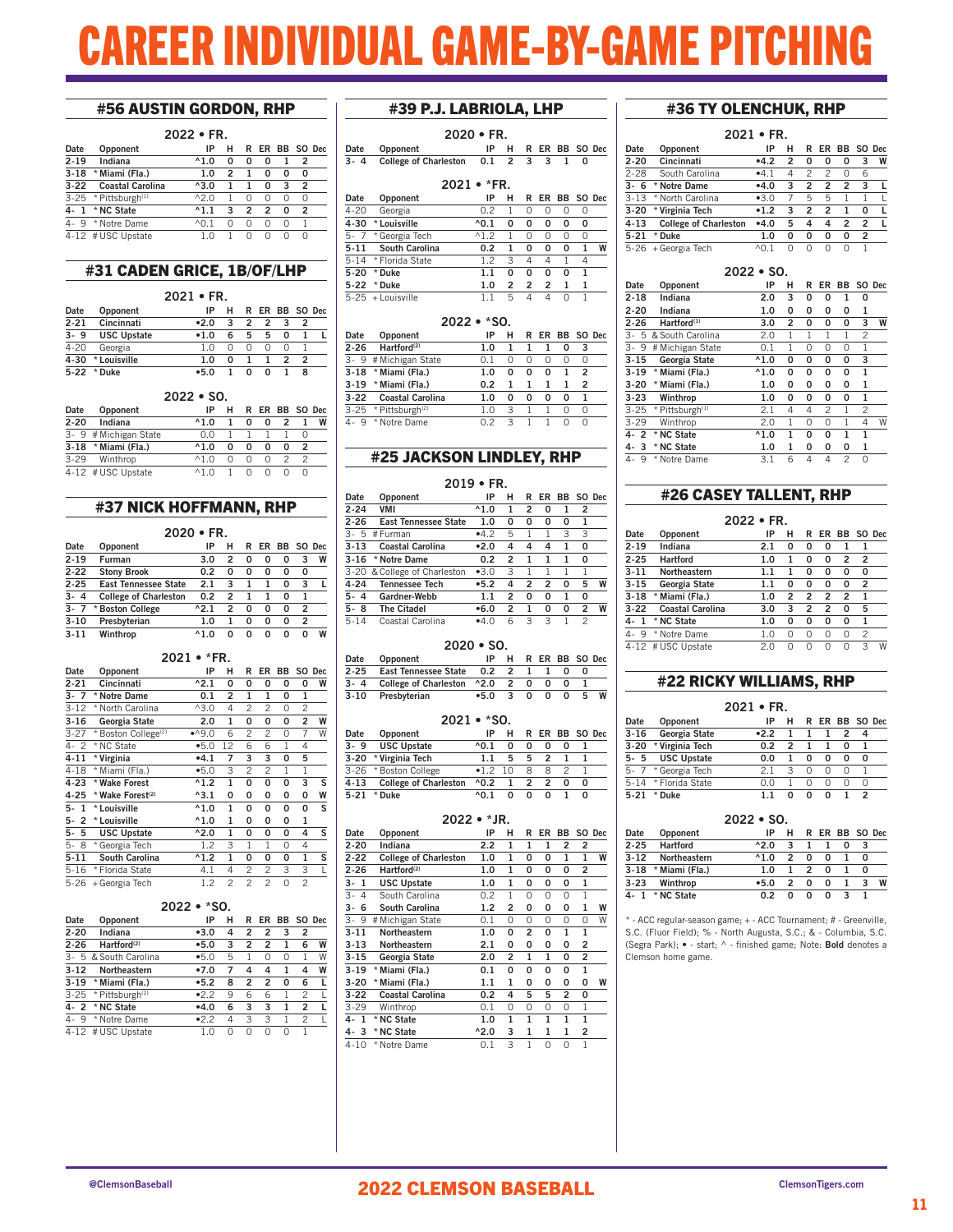# EER INDIVIDUAL GAME-BY-GAME PITCI

### #56 AUSTIN GORDON, RHP

| Opponent                | IP                                                                             | н |                 |                |   |                |                |
|-------------------------|--------------------------------------------------------------------------------|---|-----------------|----------------|---|----------------|----------------|
| Indiana                 | $^{\wedge}1.0$                                                                 | 0 | 0               | 0              |   | 2              |                |
| * Miami (Fla.)          | 1.0                                                                            | 2 | 1               | 0              | 0 | 0              |                |
| <b>Coastal Carolina</b> | $^{\wedge}3.0$                                                                 |   | 1               | 0              | 3 | $\overline{2}$ |                |
|                         | $^{0.2}$                                                                       |   | 0               | O              | Ω | $\Omega$       |                |
| * NC State              | $^{\wedge}1.1$                                                                 | 3 | $\overline{2}$  | $\overline{2}$ | 0 | $\overline{2}$ |                |
|                         | $^{\wedge}$ 0.1                                                                | Ω | $\Omega$        | O              | O | 1              |                |
|                         | $1 \Omega$                                                                     |   | Ω               | Ω              |   | $\Omega$       |                |
|                         | 3-22<br>3-25 * Pittsburgh <sup>(1)</sup><br>* Notre Dame<br>4-12 # USC Upstate |   | $2022 \cdot FR$ |                |   |                | R ER BB SO Dec |

### #31 CADEN GRICE, 1B/OF/LHP

|          | $2021 \cdot FR$    |      |   |   |   |                |  |  |
|----------|--------------------|------|---|---|---|----------------|--|--|
| Date     | Opponent           | ΙP   | н |   |   | R ER BB SO Dec |  |  |
| $2 - 21$ | Cincinnati         | •2.0 | 3 | 2 | 2 |                |  |  |
| $3 - 9$  | <b>USC Upstate</b> | •1.0 | 6 | 5 | 5 | O              |  |  |
| 4-20     | Georgia            | 1 ∩  |   | Ω |   |                |  |  |
| 4-30     | * Louisville       | 1.0  | O |   |   |                |  |  |
| 5-22     | * Duke             | •5.0 |   | U | ŋ |                |  |  |

### 2022 • SO.

|          |                       | LULL " JU.          |   |   |   |  |              |
|----------|-----------------------|---------------------|---|---|---|--|--------------|
| Date     | Opponent              | IP                  | н | R |   |  | ER BB SO Dec |
| $2 - 20$ | Indiana               | $^{\wedge}1.0$      |   | o | o |  | W            |
|          | 3- 9 # Michigan State | 0.O                 |   |   |   |  |              |
| $3-18$   | * Miami (Fla.)        | $^{\wedge}1.0$      |   | Ω | o |  |              |
| $3 - 29$ | Winthrop              | $\wedge$ 1 $\wedge$ |   |   | O |  |              |
|          | 4-12 # USC Upstate    | $\wedge$ 1 $\wedge$ |   |   |   |  |              |

### #37 NICK HOFFMANN, RHP

|          |                              | $2020 \cdot FR$ |   |   |   |              |                |   |
|----------|------------------------------|-----------------|---|---|---|--------------|----------------|---|
| Date     | Opponent                     | IP              | н | R |   | ER BB SO Dec |                |   |
| $2 - 19$ | Furman                       | 3.0             | 2 | 0 | 0 | 0            | 3              | W |
| $2 - 22$ | <b>Stony Brook</b>           | 0.2             | O | 0 | 0 | 0            | 0              |   |
| $2 - 25$ | <b>East Tennessee State</b>  | 2.1             | 3 | 1 | 1 | O            | 3              |   |
| $3 - 4$  | <b>College of Charleston</b> | 0.2             | 2 | 1 |   | O            | 1              |   |
| $3 - 7$  | * Boston College             | $^{\wedge}2.1$  | 2 | 0 | 0 | 0            | $\mathfrak{p}$ |   |
| $3 - 10$ | Presbyterian                 | 1.0             | 1 | O | 0 | ŋ            | $\mathfrak{p}$ |   |
| $3 - 11$ | Winthrop                     | $^{\wedge}1.0$  | O | 0 | 0 | 0            | 0              | W |

### 2021 • \*FR.

| Opponent                        | IP             | н            | R              | ER             | BB |              | <b>Dec</b> |
|---------------------------------|----------------|--------------|----------------|----------------|----|--------------|------------|
| Cincinnati                      | $^{\wedge}2.1$ | 0            | 0              | 0              | 0  | 0            | W          |
| * Notre Dame                    | 0.1            | 2            | $\mathbf{1}$   | $\mathbf{1}$   | 0  | 1            |            |
| * North Carolina                | $^{\wedge}3.0$ | 4            | 2              | 2              | 0  | 2            |            |
| Georgia State                   | 2.0            | 1            | 0              | 0              | 0  | 2            | W          |
| * Boston College <sup>(2)</sup> | $*$ 49.0       | 6            | 2              | 2              | 0  | 7            | W          |
| * NC State                      | •5.0           | 12           | 6              | 6              | 1  | 4            |            |
| * Virginia                      | $-4.1$         | 7            | 3              | 3              | 0  | 5            |            |
| * Miami (Fla.)                  | •5.0           | 3            | 2              | 2              | 1  | 1            |            |
| * Wake Forest                   | $^{\wedge}1.2$ | $\mathbf{1}$ | 0              | 0              | 0  | 3            | s          |
| * Wake Forest <sup>(2)</sup>    | $^{\wedge}3.1$ | 0            | 0              | 0              | 0  | 0            | W          |
| * Louisville                    | $^{\wedge}1.0$ | $\mathbf{1}$ | 0              | 0              | 0  | 0            | S          |
| * Louisville                    | $^{\wedge}1.0$ | $\mathbf{1}$ | 0              | 0              | 0  | 1            |            |
| <b>USC Upstate</b>              | $^{\wedge}2.0$ | $\mathbf{1}$ | 0              | 0              | 0  | 4            | S          |
| * Georgia Tech                  | 1.2            | 3            | 1              | 1              | 0  | 4            |            |
| <b>South Carolina</b>           | $^{\wedge}1.2$ | $\mathbf{1}$ | 0              | 0              | 0  | $\mathbf{1}$ | S          |
| * Florida State                 | 4.1            | 4            | $\mathfrak{p}$ | $\mathfrak{p}$ | 3  | 3            | L          |
| 5-26 + Georgia Tech             | 1.2            | 2            | 2              | 2              | 0  | 2            |            |
|                                 |                |              |                |                |    |              | SO.        |

### 2022 • \*SO.

| Date     | Opponent                | IP   |   | R              | ER |   |                | BB SO Dec |
|----------|-------------------------|------|---|----------------|----|---|----------------|-----------|
| $2 - 20$ | Indiana                 | •3.0 | 4 | 2              | 2  | 3 | 2              |           |
| $2 - 26$ | Hartford <sup>(2)</sup> | •5.0 | 3 | $\overline{2}$ | 2  | 1 | 6              | W         |
|          | 3- 5 & South Carolina   | •5.0 | 5 | 1              | 0  | O |                | W         |
| $3 - 12$ | Northeastern            | •7.0 | 7 | 4              | 4  | 1 | 4              | W         |
| $3 - 19$ | * Miami (Fla.)          | •5.2 | 8 | $\overline{2}$ | 2  | O | 6              |           |
|          | 3-25 * Pittsburgh(2)    | •2.2 | 9 | 6              | 6  | 1 | 2              |           |
|          | 4- 2 * NC State         | •4.0 | 6 | 3              | 3  | 1 | $\overline{2}$ |           |
| 4-9      | * Notre Dame            | •2.2 | 4 | 3              | 3  | 1 | 2              |           |
|          | 4-12 # USC Upstate      | 1 ∩  |   | Ω              | n  | Ω |                |           |

### #39 P.J. LABRIOLA, LHP

| $2020 \cdot FR.$ |                                         |  |  |  |  |  |                     |  |
|------------------|-----------------------------------------|--|--|--|--|--|---------------------|--|
|                  | Date Opponent                           |  |  |  |  |  | IP H R ER BB SO Dec |  |
|                  | 3-4 College of Charleston 0.1 2 3 3 1 0 |  |  |  |  |  |                     |  |

| п<br>. לווי<br>$\sim$ |  |
|-----------------------|--|
|-----------------------|--|

| Date     | Opponent              | IP             | н |                |   | R ER BB SO Dec |          |   |
|----------|-----------------------|----------------|---|----------------|---|----------------|----------|---|
| $4 - 20$ | Georgia               | 0.2            |   | Ω              | Ω | O              | $\Omega$ |   |
| $4 - 30$ | * Louisville          | $^{\wedge}0.1$ | ŋ | O              | O | 0              | O        |   |
| $5 - 7$  | * Georgia Tech        | $^{\wedge}12$  |   | Ω              | Ω | O              | O        |   |
| $5 - 11$ | <b>South Carolina</b> | 0.2            |   | O              | 0 | 0              |          | W |
| $5 - 14$ | * Florida State       | 1.2            | 3 | 4              | 4 |                |          |   |
| $5 - 20$ | * Duke                | 1.1            | ŋ | O              | O | O              | 1        |   |
| $5-22$   | * Duke                | 1.0            | 2 | $\overline{2}$ | 2 | 1              |          |   |
|          | 5-25 + Louisville     |                | 5 | 4              | 4 | Ω              |          |   |

### 2022 • \*SO.

| Date     | Opponent                    | ΙP  | н        | R        |                  | ER BB SO Dec |   |  |
|----------|-----------------------------|-----|----------|----------|------------------|--------------|---|--|
| $2 - 26$ | Hartford <sup>(2)</sup>     | 1.0 | 1        |          |                  | ŋ            | 3 |  |
|          | 3- 9 # Michigan State       | O 1 | $^{(+)}$ | $^{(+)}$ | $\left( \right)$ | $\Omega$     | Ω |  |
| $3 - 18$ | * Miami (Fla.)              | 1.0 | O        | o        | O                |              | 2 |  |
| 3-19     | * Miami (Fla.)              | 0.2 | 1        |          |                  |              | 2 |  |
| $3-22$   | <b>Coastal Carolina</b>     | 1.0 | O        | o        | O                | 0            |   |  |
| $3 - 25$ | * Pittsburgh <sup>(2)</sup> | 1 ∩ | 3        |          |                  | Ω            | Ω |  |
| 4.9      | * Notre Dame                | n 2 | ੨        |          |                  |              | Ω |  |

### #25 JACKSON LINDLEY, RHP

### 2019 • FR.

| Date     | Opponent                     | IP             | н              | R |   | ER BB | SO Dec |   |  |
|----------|------------------------------|----------------|----------------|---|---|-------|--------|---|--|
| 2-24     | VMI                          | $^{\wedge}1.0$ | 1              | 2 | 0 |       | 2      |   |  |
| 2-26     | <b>East Tennessee State</b>  | 1.0            | 0              | 0 | 0 | 0     |        |   |  |
| 3-5      | # Furman                     | •4.2           | 5              | 1 | 1 | 3     | 3      |   |  |
| 3-13     | Coastal Carolina             | •2.0           | 4              | 4 | 4 | 1     | 0      |   |  |
| $3 - 16$ | * Notre Dame                 | 0.2            | $\mathfrak{p}$ |   |   |       | 0      |   |  |
|          | 3-20 & College of Charleston | $-3.0$         | 3              | 1 | 1 | 1     | 1      |   |  |
| 4-24     | <b>Tennessee Tech</b>        | •5.2           | 4              | 2 | 2 | 0     | 5      | W |  |
| 5-4      | Gardner-Webb                 | 1.1            | 2              | 0 | 0 | 1     | 0      |   |  |
| $5 - 8$  | <b>The Citadel</b>           | •6.0           | 2              | 1 | O | O     | 2      | W |  |
| $5 - 14$ | Coastal Carolina             | •4.0           | 6              | З | 3 |       | 2      |   |  |

### 2020 • SO.

| Date | Opponent                          | IP.    |     |   |              | H R ER BB SO Dec |    |   |  |
|------|-----------------------------------|--------|-----|---|--------------|------------------|----|---|--|
| 2-25 | East Tennessee State 0.2 2 1      |        |     |   |              | 10               |    |   |  |
|      | 3- 4 College of Charleston ^2.0 2 |        |     | 0 | $\mathbf{0}$ |                  |    |   |  |
|      | 3-10 Presbyterian                 | $-5.0$ | 3 O |   |              | ი ი              | 5. | W |  |

### 2021 • \*SO.

| Date     | Opponent                     | ΙP             | н  |   |   | R ER BB SO Dec |  |
|----------|------------------------------|----------------|----|---|---|----------------|--|
| $3 - 9$  | <b>USC Upstate</b>           | 0.1            |    | ŋ | o |                |  |
| $3-20$   | * Virginia Tech              | 11             | 5  | 5 | 2 |                |  |
| $3 - 26$ | * Boston College             | •12            | 10 | я | я |                |  |
| 4-13     | <b>College of Charleston</b> | $^{\wedge}0.2$ | ı  | 2 | 2 |                |  |
| $5 - 21$ | * Duke                       | $\wedge$ 0 1   |    | U | O |                |  |

### 2022 • \*JR.

|            | ᅩᇰᄼᅩ                         |                | <i>.</i> .   |                |              |              |              |        |
|------------|------------------------------|----------------|--------------|----------------|--------------|--------------|--------------|--------|
| Date       | Opponent                     | IP             | н            | R              | ER           | BВ           |              | SO Dec |
| 2-20       | Indiana                      | 2.2            | 1            | 1              | 1            | 2            | 2            |        |
| 2-22       | <b>College of Charleston</b> | 1.0            | $\mathbf{1}$ | 0              | 0            | $\mathbf{1}$ | $\mathbf{1}$ | W      |
| 2-26       | Hartford <sup>(2)</sup>      | 1.0            | 1            | 0              | 0            | 0            | 2            |        |
| 3- 1       | <b>USC Upstate</b>           | 1.0            | 1            | 0              | 0            | 0            | $\mathbf{1}$ |        |
| $3 -$<br>4 | South Carolina               | 0.2            | 1            | 0              | 0            | $\Omega$     | 1            |        |
| 3-<br>- 6  | <b>South Carolina</b>        | 1.2            | 2            | 0              | 0            | 0            | 1            | W      |
| $3 - 9$    | # Michigan State             | 0.1            | 0            | 0              | 0            | 0            | 0            | W      |
| $3 - 11$   | Northeastern                 | 1.0            | 0            | $\overline{a}$ | 0            | $\mathbf{1}$ | $\mathbf{1}$ |        |
| $3 - 13$   | Northeastern                 | 2.1            | 0            | 0              | 0            | 0            | 2            |        |
| $3 - 15$   | Georgia State                | 2.0            | 2            | 1              | 1            | 0            | 2            |        |
| $3 - 19$   | * Miami (Fla.)               | 0.1            | 0            | 0              | 0            | 0            | $\mathbf{1}$ |        |
| $3 - 20$   | * Miami (Fla.)               | $1.1\,$        | 1            | 0              | 0            | 0            | 0            | W      |
| $3-22$     | <b>Coastal Carolina</b>      | 0.2            | 4            | 5              | 5            | 2            | 0            |        |
| $3 - 29$   | Winthrop                     | 0.1            | 0            | 0              | 0            | 0            | 1            |        |
| -1<br>4-   | * NC State                   | 1.0            | 1            | 1              | 1            | 1            | $\mathbf{1}$ |        |
| 4-3        | * NC State                   | $^{\wedge}2.0$ | 3            | $\mathbf{1}$   | $\mathbf{1}$ | 1            | 2            |        |
| $4 - 10$   | * Notre Dame                 | 0.1            | 3            | 1              | $\Omega$     | $\Omega$     | 1            |        |

### #36 TY OLENCHUK, RHP

| $2021 \cdot FR$ |                              |                 |   |                |                |                |                |        |  |  |
|-----------------|------------------------------|-----------------|---|----------------|----------------|----------------|----------------|--------|--|--|
| Date            | Opponent                     | IP              | н | R              | ER             | ВB             |                | SO Dec |  |  |
| $2 - 20$        | Cincinnati                   | •4.2            | 2 | O              | O              | 0              | 3              | W      |  |  |
| $2 - 28$        | South Carolina               | •4.1            | 4 | 2              | 2              | 0              | 6              |        |  |  |
| 3-6             | * Notre Dame                 | •4.0            | 3 | $\mathfrak{p}$ | $\mathfrak{p}$ | $\mathfrak{p}$ | 3              |        |  |  |
| $3 - 13$        | * North Carolina             | $-3.0$          | 7 | 5              | 5              |                |                |        |  |  |
| $3 - 20$        | * Virginia Tech              | •1.2            | 3 | $\overline{2}$ | 2              | 1              | O              | п      |  |  |
| $4 - 13$        | <b>College of Charleston</b> | •4.0            | 5 | 4              | 4              | $\overline{2}$ | $\overline{2}$ |        |  |  |
| $5 - 21$        | * Duke                       | 1.0             | 0 | O              | O              | 0              | $\mathfrak{p}$ |        |  |  |
|                 | 5-26 + Georgia Tech          | $^{\wedge}$ 0.1 | Ω | Ω              |                | Ω              |                |        |  |  |

| $2022 \cdot SO$ |                             |                |   |   |                |                |                |        |  |  |
|-----------------|-----------------------------|----------------|---|---|----------------|----------------|----------------|--------|--|--|
| Date            | Opponent                    | IP             | н | R | ER             | ВB             |                | SO Dec |  |  |
| $2 - 18$        | Indiana                     | 2.0            | 3 | 0 | 0              | 1              | 0              |        |  |  |
| $2 - 20$        | Indiana                     | 1.0            | 0 | 0 | 0              | 0              | 1              |        |  |  |
| $2 - 26$        | Hartford <sup>(1)</sup>     | 3.0            | 2 | 0 | 0              | 0              | 3              | W      |  |  |
| 3-<br>5         | & South Carolina            | 2.0            | 1 | 1 | 1              | 1              | $\mathfrak{p}$ |        |  |  |
| $3 - 9$         | # Michigan State            | 0.1            | 1 | 0 | 0              | $\Omega$       | 1              |        |  |  |
| $3 - 15$        | Georgia State               | $^{\wedge}1.0$ | 0 | 0 | 0              | 0              | 3              |        |  |  |
| $3 - 19$        | * Miami (Fla.)              | $^{\wedge}1.0$ | 0 | 0 | 0              | 0              | 1              |        |  |  |
| $3 - 20$        | * Miami (Fla.)              | 1.0            | 0 | 0 | 0              | 0              | 1              |        |  |  |
| $3 - 23$        | Winthrop                    | 1.0            | 0 | 0 | 0              | 0              | 1              |        |  |  |
| $3 - 25$        | * Pittsburgh <sup>(1)</sup> | 2.1            | 4 | 4 | $\mathfrak{p}$ | 1              | 2              |        |  |  |
| $3-29$          | Winthrop                    | 2.0            | 1 | O | $\Omega$       | 1              | 4              | W      |  |  |
| $4 - 2$         | * NC State                  | $^{\wedge}1.0$ | 1 | 0 | 0              | $\mathbf{1}$   | $\mathbf{1}$   |        |  |  |
| $4 - 3$         | * NC State                  | 1.0            | 1 | 0 | 0              | 0              | 1              |        |  |  |
| 4-<br>9         | * Notre Dame                | 3.1            | 6 | 4 | 4              | $\mathfrak{p}$ | 0              |        |  |  |

### #26 CASEY TALLENT, RHP

| 2022 • FR. |                         |     |   |                |     |                |                |   |  |
|------------|-------------------------|-----|---|----------------|-----|----------------|----------------|---|--|
| Date       | Opponent                | IP  | н | R              | ER. |                | BB SO Dec      |   |  |
| $2 - 19$   | Indiana                 | 2.1 | O | 0              | 0   | 1              | 1              |   |  |
| $2 - 25$   | <b>Hartford</b>         | 1.0 | 1 | 0              | 0   | $\overline{2}$ | $\overline{2}$ |   |  |
| $3 - 11$   | Northeastern            | 1.1 |   | ŋ              | 0   | O              | 0              |   |  |
| $3 - 15$   | Georgia State           | 1.1 | 0 | 0              | 0   | 0              | $\overline{2}$ |   |  |
| $3 - 18$   | * Miami (Fla.)          | 1.0 | 2 | $\overline{2}$ | 2   | 2              | 1              |   |  |
| $3-22$     | <b>Coastal Carolina</b> | 3.0 | 3 | $\mathfrak{p}$ | 2   | O              | 5              |   |  |
| -1         | * NC State              | 1.0 | O | 0              | 0   | 0              | 1              |   |  |
| 9          | * Notre Dame            | 1.0 | Ω | Ω              | Ω   | Ω              | $\mathfrak{p}$ |   |  |
|            | 4-12 # USC Upstate      | 2.0 |   | n              | ∩   | Ω              | 3              | W |  |

### #22 RICKY WILLIAMS, RHP

| $2021 \cdot FR$ |                     |      |   |   |   |              |   |  |  |
|-----------------|---------------------|------|---|---|---|--------------|---|--|--|
| Date            | Opponent            | ΙP   | н | R |   | ER BB SO Dec |   |  |  |
| $3 - 16$        | Georgia State       | •2.2 |   |   |   | 2            | 4 |  |  |
| $3 - 20$        | * Virginia Tech     | 0.2  | 2 |   |   | O            |   |  |  |
| $5 - 5$         | <b>USC Upstate</b>  | 0.0  |   | O | O | O            | 0 |  |  |
|                 | 5- 7 * Georgia Tech | 21   | З | Ω | O | O            |   |  |  |
| $5 - 14$        | * Florida State     | റ റ  |   | Ω | O | Ω            | Ω |  |  |
| $5-21$          | * Duke              |      | n | ŋ | U |              |   |  |  |

#### 2022 • SO. Date Opponent IP H R ER BB SO Dec<br>2-25 Hartford  $2.0$  3 1 1 0 3  $\frac{2-25}{3-12}$  Hartford  $\frac{1}{2}$   $\frac{2.0}{1}$   $\frac{3}{1}$   $\frac{1}{2}$   $\frac{1}{2}$  0  $\frac{3}{1}$  0  $\frac{1}{2}$  0  $\frac{3}{1}$  0  $\frac{1}{2}$  $\begin{array}{ccccccccc}\n\wedge 1.0 & 2 & 0 & 0 & 1 & 0 \\
\hline\n1.0 & 1 & 2 & 0 & 1 & 0\n\end{array}$  $\overline{\phantom{0}}$ 3-18 \* Miami (Fla.)<br>3-23 Winthrop  $\frac{12}{10}$  • 5.0 2 0 0 1 3 W<br>0.2 0 0 0 3 1

\* - ACC regular-season game; + - ACC Tournament; # - Greenville, S.C. (Fluor Field); % - North Augusta, S.C.; & - Columbia, S.C. (Segra Park); • - start; ^ - finished game; Note: Bold denotes a Clemson home game.

 $4-1$  \* NC State